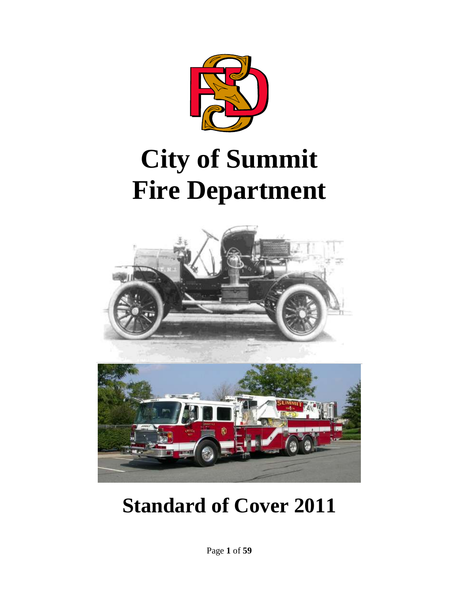

# **City of Summit Fire Department**



## **Standard of Cover 2011**

Page **1** of **59**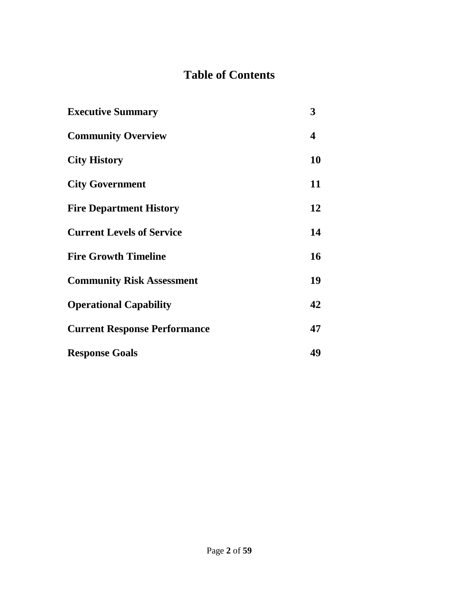## **Table of Contents**

| <b>Executive Summary</b>            | 3                       |
|-------------------------------------|-------------------------|
| <b>Community Overview</b>           | $\overline{\mathbf{4}}$ |
| <b>City History</b>                 | 10                      |
| <b>City Government</b>              | 11                      |
| <b>Fire Department History</b>      | 12                      |
| <b>Current Levels of Service</b>    | 14                      |
| <b>Fire Growth Timeline</b>         | 16                      |
| <b>Community Risk Assessment</b>    | 19                      |
| <b>Operational Capability</b>       | 42                      |
| <b>Current Response Performance</b> | 47                      |
| <b>Response Goals</b>               | 49                      |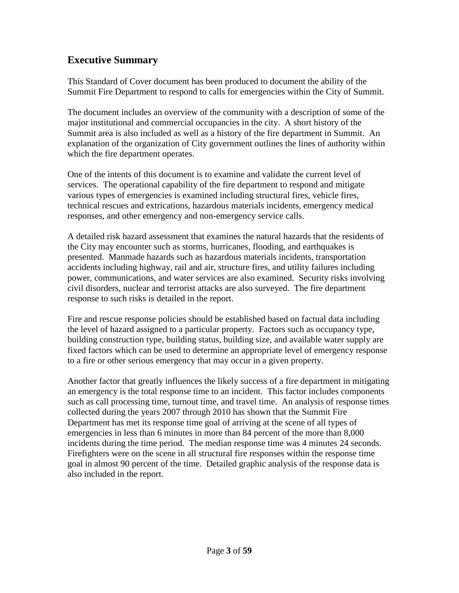#### **Executive Summary**

This Standard of Cover document has been produced to document the ability of the Summit Fire Department to respond to calls for emergencies within the City of Summit.

The document includes an overview of the community with a description of some of the major institutional and commercial occupancies in the city. A short history of the Summit area is also included as well as a history of the fire department in Summit. An explanation of the organization of City government outlines the lines of authority within which the fire department operates.

One of the intents of this document is to examine and validate the current level of services. The operational capability of the fire department to respond and mitigate various types of emergencies is examined including structural fires, vehicle fires, technical rescues and extrications, hazardous materials incidents, emergency medical responses, and other emergency and non-emergency service calls.

A detailed risk hazard assessment that examines the natural hazards that the residents of the City may encounter such as storms, hurricanes, flooding, and earthquakes is presented. Manmade hazards such as hazardous materials incidents, transportation accidents including highway, rail and air, structure fires, and utility failures including power, communications, and water services are also examined. Security risks involving civil disorders, nuclear and terrorist attacks are also surveyed. The fire department response to such risks is detailed in the report.

Fire and rescue response policies should be established based on factual data including the level of hazard assigned to a particular property. Factors such as occupancy type, building construction type, building status, building size, and available water supply are fixed factors which can be used to determine an appropriate level of emergency response to a fire or other serious emergency that may occur in a given property.

Another factor that greatly influences the likely success of a fire department in mitigating an emergency is the total response time to an incident. This factor includes components such as call processing time, turnout time, and travel time. An analysis of response times collected during the years 2007 through 2010 has shown that the Summit Fire Department has met its response time goal of arriving at the scene of all types of emergencies in less than 6 minutes in more than 84 percent of the more than 8,000 incidents during the time period. The median response time was 4 minutes 24 seconds. Firefighters were on the scene in all structural fire responses within the response time goal in almost 90 percent of the time. Detailed graphic analysis of the response data is also included in the report.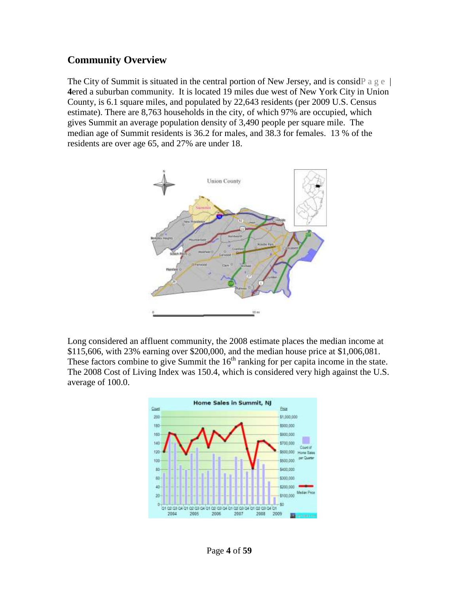#### **Community Overview**

The City of Summit is situated in the central portion of New Jersey, and is consider a g  $\epsilon$ **4**ered a suburban community. It is located 19 miles due west of New York City in Union County, is 6.1 square miles, and populated by 22,643 residents (per 2009 U.S. Census estimate). There are 8,763 households in the city, of which 97% are occupied, which gives Summit an average population density of 3,490 people per square mile. The median age of Summit residents is 36.2 for males, and 38.3 for females. 13 % of the residents are over age 65, and 27% are under 18.



Long considered an affluent community, the 2008 estimate places the median income at \$115,606, with 23% earning over \$200,000, and the median house price at \$1,006,081. These factors combine to give Summit the  $16<sup>th</sup>$  ranking for per capita income in the state. The 2008 Cost of Living Index was 150.4, which is considered very high against the U.S. average of 100.0.

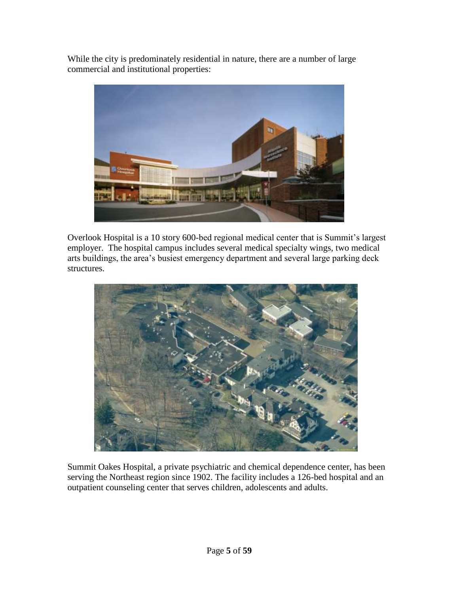While the city is predominately residential in nature, there are a number of large commercial and institutional properties:



Overlook Hospital is a 10 story 600-bed regional medical center that is Summit's largest employer. The hospital campus includes several medical specialty wings, two medical arts buildings, the area's busiest emergency department and several large parking deck structures.



Summit Oakes Hospital, a private psychiatric and chemical dependence center, has been serving the Northeast region since 1902. The facility includes a 126-bed hospital and an outpatient counseling center that serves children, adolescents and adults.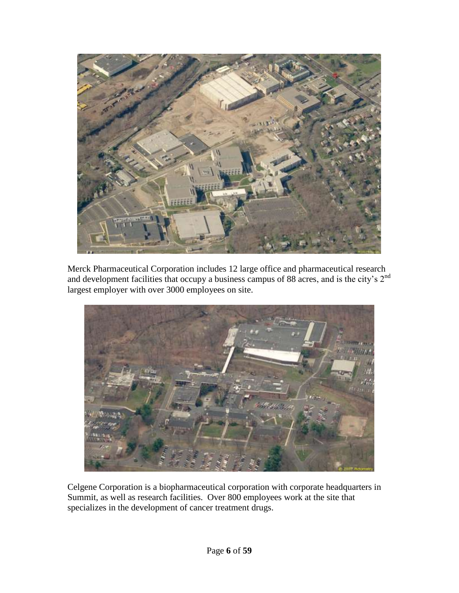

Merck Pharmaceutical Corporation includes 12 large office and pharmaceutical research and development facilities that occupy a business campus of 88 acres, and is the city's 2<sup>nd</sup> largest employer with over 3000 employees on site.



Celgene Corporation is a biopharmaceutical corporation with corporate headquarters in Summit, as well as research facilities. Over 800 employees work at the site that specializes in the development of cancer treatment drugs.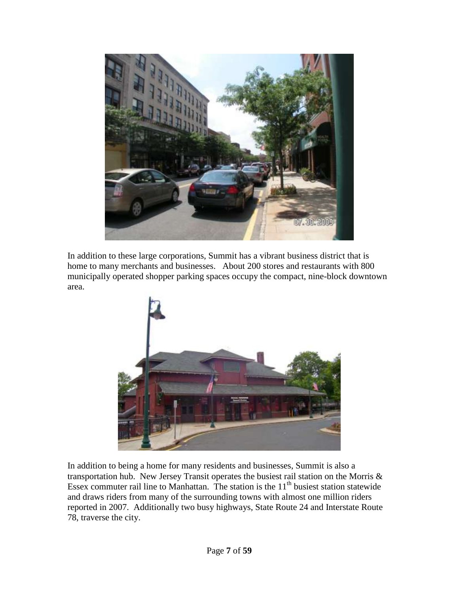

In addition to these large corporations, Summit has a vibrant business district that is home to many merchants and businesses. About 200 stores and restaurants with 800 municipally operated shopper parking spaces occupy the compact, nine-block downtown area.



In addition to being a home for many residents and businesses, Summit is also a transportation hub. New Jersey Transit operates the busiest rail station on the Morris  $\&$ Essex commuter rail line to Manhattan. The station is the  $11<sup>th</sup>$  busiest station statewide and draws riders from many of the surrounding towns with almost one million riders reported in 2007. Additionally two busy highways, State Route 24 and Interstate Route 78, traverse the city.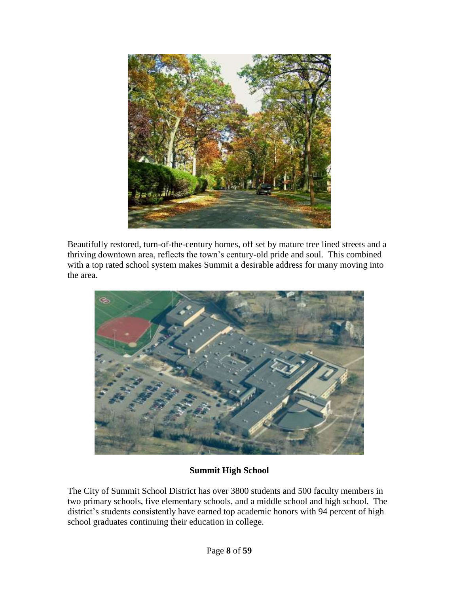

Beautifully restored, turn-of-the-century homes, off set by mature tree lined streets and a thriving downtown area, reflects the town's century-old pride and soul. This combined with a top rated school system makes Summit a desirable address for many moving into the area.



#### **Summit High School**

The City of Summit School District has over 3800 students and 500 faculty members in two primary schools, five elementary schools, and a middle school and high school. The district's students consistently have earned top academic honors with 94 percent of high school graduates continuing their education in college.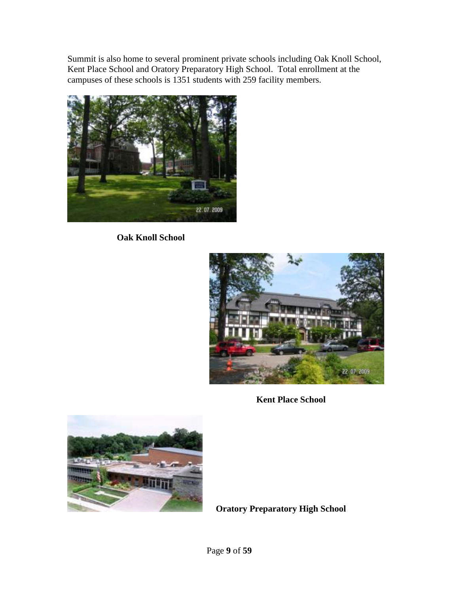Summit is also home to several prominent private schools including Oak Knoll School, Kent Place School and Oratory Preparatory High School. Total enrollment at the campuses of these schools is 1351 students with 259 facility members.



**Oak Knoll School**



**Kent Place School**



**Oratory Preparatory High School**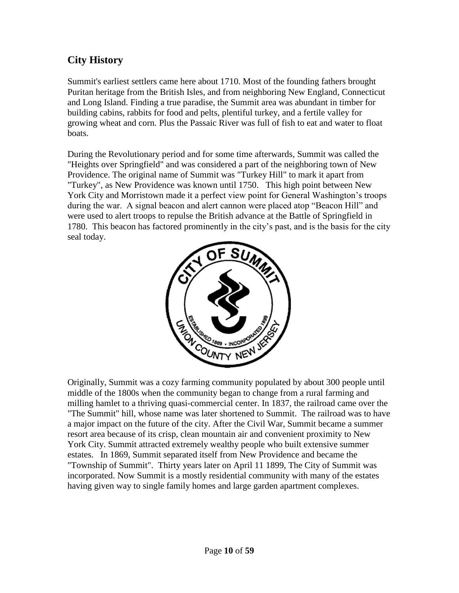#### **City History**

Summit's earliest settlers came here about 1710. Most of the founding fathers brought Puritan heritage from the British Isles, and from neighboring New England, Connecticut and Long Island. Finding a true paradise, the Summit area was abundant in timber for building cabins, rabbits for food and pelts, plentiful turkey, and a fertile valley for growing wheat and corn. Plus the Passaic River was full of fish to eat and water to float boats.

During the Revolutionary period and for some time afterwards, Summit was called the "Heights over Springfield" and was considered a part of the neighboring town of New Providence. The original name of Summit was "Turkey Hill" to mark it apart from "Turkey", as New Providence was known until 1750. This high point between New York City and Morristown made it a perfect view point for General Washington's troops during the war. A signal beacon and alert cannon were placed atop "Beacon Hill" and were used to alert troops to repulse the British advance at the Battle of Springfield in 1780. This beacon has factored prominently in the city's past, and is the basis for the city seal today.



Originally, Summit was a cozy farming community populated by about 300 people until middle of the 1800s when the community began to change from a rural farming and milling hamlet to a thriving quasi-commercial center. In 1837, the railroad came over the "The Summit" hill, whose name was later shortened to Summit. The railroad was to have a major impact on the future of the city. After the Civil War, Summit became a summer resort area because of its crisp, clean mountain air and convenient proximity to New York City. Summit attracted extremely wealthy people who built extensive summer estates. In 1869, Summit separated itself from New Providence and became the "Township of Summit". Thirty years later on April 11 1899, The City of Summit was incorporated. Now Summit is a mostly residential community with many of the estates having given way to single family homes and large garden apartment complexes.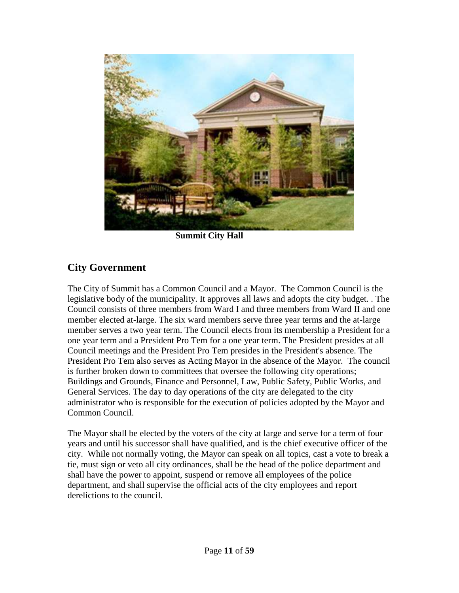

**Summit City Hall**

#### **City Government**

The City of Summit has a Common Council and a Mayor. The Common Council is the legislative body of the municipality. It approves all laws and adopts the city budget. . The Council consists of three members from Ward I and three members from Ward II and one member elected at-large. The six ward members serve three year terms and the at-large member serves a two year term. The Council elects from its membership a President for a one year term and a President Pro Tem for a one year term. The President presides at all Council meetings and the President Pro Tem presides in the President's absence. The President Pro Tem also serves as Acting Mayor in the absence of the Mayor. The council is further broken down to committees that oversee the following city operations; Buildings and Grounds, Finance and Personnel, Law, Public Safety, Public Works, and General Services. The day to day operations of the city are delegated to the city administrator who is responsible for the execution of policies adopted by the Mayor and Common Council.

The Mayor shall be elected by the voters of the city at large and serve for a term of four years and until his successor shall have qualified, and is the chief executive officer of the city. While not normally voting, the Mayor can speak on all topics, cast a vote to break a tie, must sign or veto all city ordinances, shall be the head of the police department and shall have the power to appoint, suspend or remove all employees of the police department, and shall supervise the official acts of the city employees and report derelictions to the council.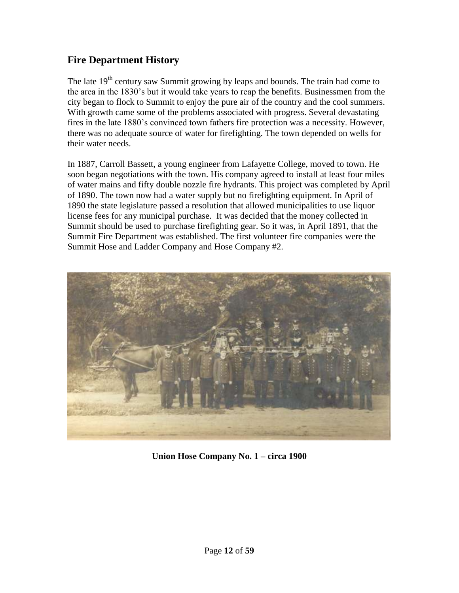#### **Fire Department History**

The late 19<sup>th</sup> century saw Summit growing by leaps and bounds. The train had come to the area in the 1830's but it would take years to reap the benefits. Businessmen from the city began to flock to Summit to enjoy the pure air of the country and the cool summers. With growth came some of the problems associated with progress. Several devastating fires in the late 1880's convinced town fathers fire protection was a necessity. However, there was no adequate source of water for firefighting. The town depended on wells for their water needs.

In 1887, Carroll Bassett, a young engineer from Lafayette College, moved to town. He soon began negotiations with the town. His company agreed to install at least four miles of water mains and fifty double nozzle fire hydrants. This project was completed by April of 1890. The town now had a water supply but no firefighting equipment. In April of 1890 the state legislature passed a resolution that allowed municipalities to use liquor license fees for any municipal purchase. It was decided that the money collected in Summit should be used to purchase firefighting gear. So it was, in April 1891, that the Summit Fire Department was established. The first volunteer fire companies were the Summit Hose and Ladder Company and Hose Company #2.



**Union Hose Company No. 1 – circa 1900**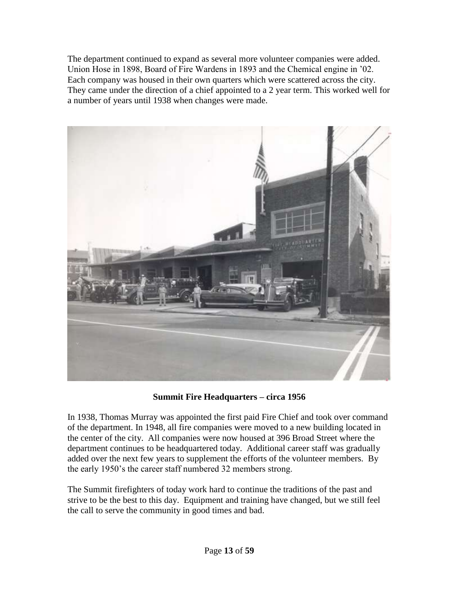The department continued to expand as several more volunteer companies were added. Union Hose in 1898, Board of Fire Wardens in 1893 and the Chemical engine in '02. Each company was housed in their own quarters which were scattered across the city. They came under the direction of a chief appointed to a 2 year term. This worked well for a number of years until 1938 when changes were made.



**Summit Fire Headquarters – circa 1956**

In 1938, Thomas Murray was appointed the first paid Fire Chief and took over command of the department. In 1948, all fire companies were moved to a new building located in the center of the city. All companies were now housed at 396 Broad Street where the department continues to be headquartered today. Additional career staff was gradually added over the next few years to supplement the efforts of the volunteer members. By the early 1950's the career staff numbered 32 members strong.

The Summit firefighters of today work hard to continue the traditions of the past and strive to be the best to this day. Equipment and training have changed, but we still feel the call to serve the community in good times and bad.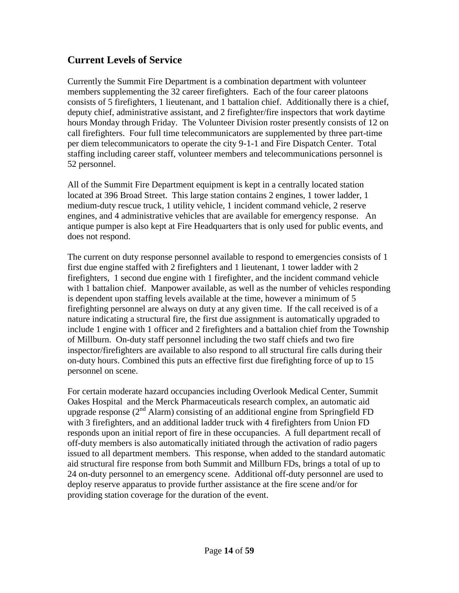#### **Current Levels of Service**

Currently the Summit Fire Department is a combination department with volunteer members supplementing the 32 career firefighters. Each of the four career platoons consists of 5 firefighters, 1 lieutenant, and 1 battalion chief. Additionally there is a chief, deputy chief, administrative assistant, and 2 firefighter/fire inspectors that work daytime hours Monday through Friday. The Volunteer Division roster presently consists of 12 on call firefighters. Four full time telecommunicators are supplemented by three part-time per diem telecommunicators to operate the city 9-1-1 and Fire Dispatch Center. Total staffing including career staff, volunteer members and telecommunications personnel is 52 personnel.

All of the Summit Fire Department equipment is kept in a centrally located station located at 396 Broad Street. This large station contains 2 engines, 1 tower ladder, 1 medium-duty rescue truck, 1 utility vehicle, 1 incident command vehicle, 2 reserve engines, and 4 administrative vehicles that are available for emergency response. An antique pumper is also kept at Fire Headquarters that is only used for public events, and does not respond.

The current on duty response personnel available to respond to emergencies consists of 1 first due engine staffed with 2 firefighters and 1 lieutenant, 1 tower ladder with 2 firefighters, 1 second due engine with 1 firefighter, and the incident command vehicle with 1 battalion chief. Manpower available, as well as the number of vehicles responding is dependent upon staffing levels available at the time, however a minimum of 5 firefighting personnel are always on duty at any given time. If the call received is of a nature indicating a structural fire, the first due assignment is automatically upgraded to include 1 engine with 1 officer and 2 firefighters and a battalion chief from the Township of Millburn. On-duty staff personnel including the two staff chiefs and two fire inspector/firefighters are available to also respond to all structural fire calls during their on-duty hours. Combined this puts an effective first due firefighting force of up to 15 personnel on scene.

For certain moderate hazard occupancies including Overlook Medical Center, Summit Oakes Hospital and the Merck Pharmaceuticals research complex, an automatic aid upgrade response  $(2^{nd}$  Alarm) consisting of an additional engine from Springfield FD with 3 firefighters, and an additional ladder truck with 4 firefighters from Union FD responds upon an initial report of fire in these occupancies. A full department recall of off-duty members is also automatically initiated through the activation of radio pagers issued to all department members. This response, when added to the standard automatic aid structural fire response from both Summit and Millburn FDs, brings a total of up to 24 on-duty personnel to an emergency scene. Additional off-duty personnel are used to deploy reserve apparatus to provide further assistance at the fire scene and/or for providing station coverage for the duration of the event.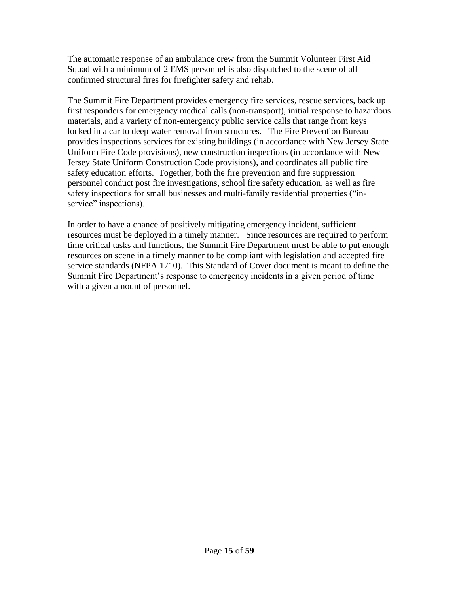The automatic response of an ambulance crew from the Summit Volunteer First Aid Squad with a minimum of 2 EMS personnel is also dispatched to the scene of all confirmed structural fires for firefighter safety and rehab.

The Summit Fire Department provides emergency fire services, rescue services, back up first responders for emergency medical calls (non-transport), initial response to hazardous materials, and a variety of non-emergency public service calls that range from keys locked in a car to deep water removal from structures. The Fire Prevention Bureau provides inspections services for existing buildings (in accordance with New Jersey State Uniform Fire Code provisions), new construction inspections (in accordance with New Jersey State Uniform Construction Code provisions), and coordinates all public fire safety education efforts. Together, both the fire prevention and fire suppression personnel conduct post fire investigations, school fire safety education, as well as fire safety inspections for small businesses and multi-family residential properties ("inservice" inspections).

In order to have a chance of positively mitigating emergency incident, sufficient resources must be deployed in a timely manner. Since resources are required to perform time critical tasks and functions, the Summit Fire Department must be able to put enough resources on scene in a timely manner to be compliant with legislation and accepted fire service standards (NFPA 1710). This Standard of Cover document is meant to define the Summit Fire Department's response to emergency incidents in a given period of time with a given amount of personnel.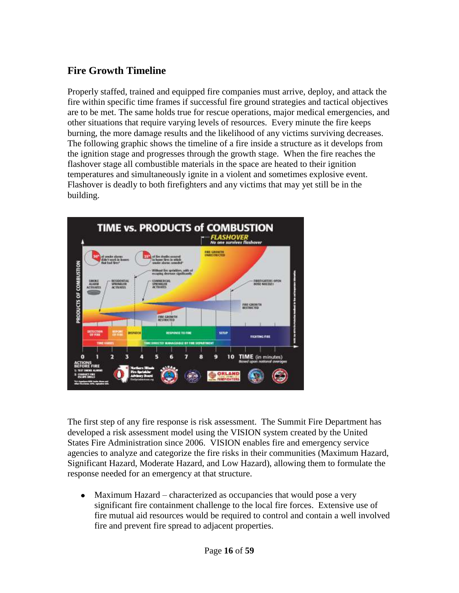#### **Fire Growth Timeline**

Properly staffed, trained and equipped fire companies must arrive, deploy, and attack the fire within specific time frames if successful fire ground strategies and tactical objectives are to be met. The same holds true for rescue operations, major medical emergencies, and other situations that require varying levels of resources. Every minute the fire keeps burning, the more damage results and the likelihood of any victims surviving decreases. The following graphic shows the timeline of a fire inside a structure as it develops from the ignition stage and progresses through the growth stage. When the fire reaches the flashover stage all combustible materials in the space are heated to their ignition temperatures and simultaneously ignite in a violent and sometimes explosive event. Flashover is deadly to both firefighters and any victims that may yet still be in the building.



The first step of any fire response is risk assessment. The Summit Fire Department has developed a risk assessment model using the VISION system created by the United States Fire Administration since 2006. VISION enables fire and emergency service agencies to analyze and categorize the fire risks in their communities (Maximum Hazard, Significant Hazard, Moderate Hazard, and Low Hazard), allowing them to formulate the response needed for an emergency at that structure.

Maximum Hazard – characterized as occupancies that would pose a very  $\bullet$ significant fire containment challenge to the local fire forces. Extensive use of fire mutual aid resources would be required to control and contain a well involved fire and prevent fire spread to adjacent properties.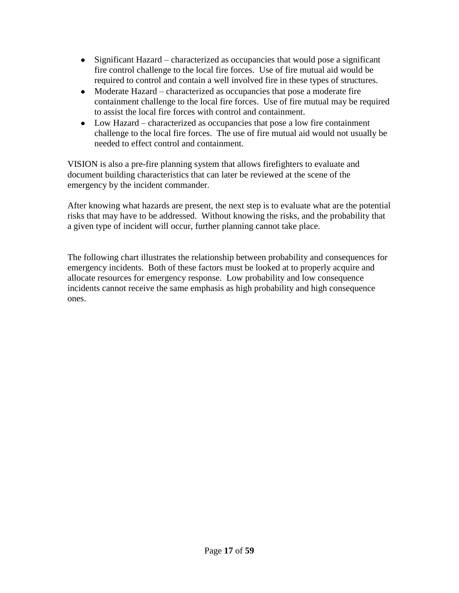- Significant Hazard characterized as occupancies that would pose a significant fire control challenge to the local fire forces. Use of fire mutual aid would be required to control and contain a well involved fire in these types of structures.
- Moderate Hazard characterized as occupancies that pose a moderate fire containment challenge to the local fire forces. Use of fire mutual may be required to assist the local fire forces with control and containment.
- Low Hazard characterized as occupancies that pose a low fire containment challenge to the local fire forces. The use of fire mutual aid would not usually be needed to effect control and containment.

VISION is also a pre-fire planning system that allows firefighters to evaluate and document building characteristics that can later be reviewed at the scene of the emergency by the incident commander.

After knowing what hazards are present, the next step is to evaluate what are the potential risks that may have to be addressed. Without knowing the risks, and the probability that a given type of incident will occur, further planning cannot take place.

The following chart illustrates the relationship between probability and consequences for emergency incidents. Both of these factors must be looked at to properly acquire and allocate resources for emergency response. Low probability and low consequence incidents cannot receive the same emphasis as high probability and high consequence ones.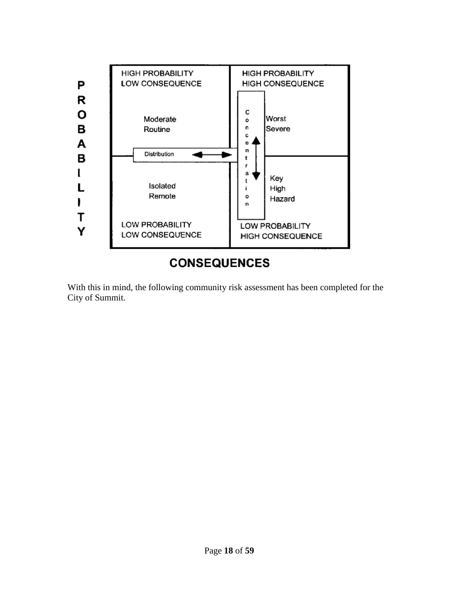

## **CONSEQUENCES**

With this in mind, the following community risk assessment has been completed for the City of Summit.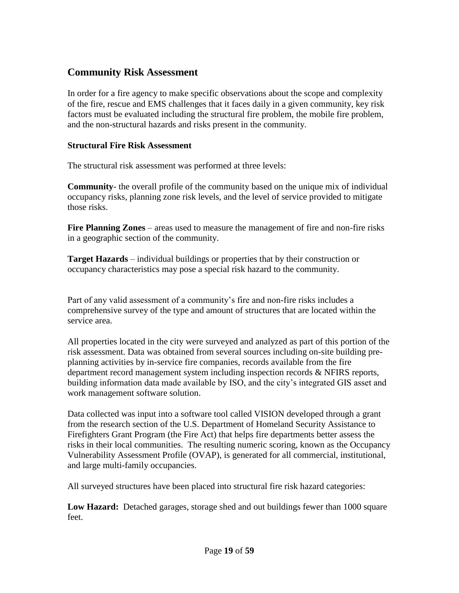#### **Community Risk Assessment**

In order for a fire agency to make specific observations about the scope and complexity of the fire, rescue and EMS challenges that it faces daily in a given community, key risk factors must be evaluated including the structural fire problem, the mobile fire problem, and the non-structural hazards and risks present in the community.

#### **Structural Fire Risk Assessment**

The structural risk assessment was performed at three levels:

**Community**- the overall profile of the community based on the unique mix of individual occupancy risks, planning zone risk levels, and the level of service provided to mitigate those risks.

**Fire Planning Zones** – areas used to measure the management of fire and non-fire risks in a geographic section of the community.

**Target Hazards** – individual buildings or properties that by their construction or occupancy characteristics may pose a special risk hazard to the community.

Part of any valid assessment of a community's fire and non-fire risks includes a comprehensive survey of the type and amount of structures that are located within the service area.

All properties located in the city were surveyed and analyzed as part of this portion of the risk assessment. Data was obtained from several sources including on-site building preplanning activities by in-service fire companies, records available from the fire department record management system including inspection records & NFIRS reports, building information data made available by ISO, and the city's integrated GIS asset and work management software solution.

Data collected was input into a software tool called VISION developed through a grant from the research section of the U.S. Department of Homeland Security Assistance to Firefighters Grant Program (the Fire Act) that helps fire departments better assess the risks in their local communities. The resulting numeric scoring, known as the Occupancy Vulnerability Assessment Profile (OVAP), is generated for all commercial, institutional, and large multi-family occupancies.

All surveyed structures have been placed into structural fire risk hazard categories:

**Low Hazard:** Detached garages, storage shed and out buildings fewer than 1000 square feet.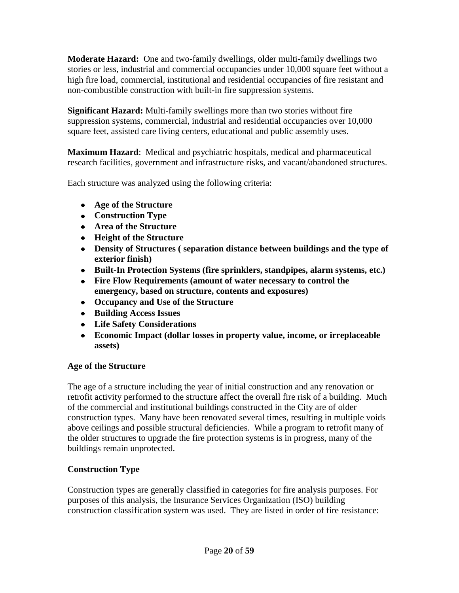**Moderate Hazard:** One and two-family dwellings, older multi-family dwellings two stories or less, industrial and commercial occupancies under 10,000 square feet without a high fire load, commercial, institutional and residential occupancies of fire resistant and non-combustible construction with built-in fire suppression systems.

**Significant Hazard:** Multi-family swellings more than two stories without fire suppression systems, commercial, industrial and residential occupancies over 10,000 square feet, assisted care living centers, educational and public assembly uses.

**Maximum Hazard**: Medical and psychiatric hospitals, medical and pharmaceutical research facilities, government and infrastructure risks, and vacant/abandoned structures.

Each structure was analyzed using the following criteria:

- **Age of the Structure**
- **Construction Type**
- **Area of the Structure**
- **Height of the Structure**
- **Density of Structures ( separation distance between buildings and the type of exterior finish)**
- **Built-In Protection Systems (fire sprinklers, standpipes, alarm systems, etc.)**
- **Fire Flow Requirements (amount of water necessary to control the emergency, based on structure, contents and exposures)**
- **Occupancy and Use of the Structure**
- **Building Access Issues**
- **Life Safety Considerations**
- **Economic Impact (dollar losses in property value, income, or irreplaceable assets)**

#### **Age of the Structure**

The age of a structure including the year of initial construction and any renovation or retrofit activity performed to the structure affect the overall fire risk of a building. Much of the commercial and institutional buildings constructed in the City are of older construction types. Many have been renovated several times, resulting in multiple voids above ceilings and possible structural deficiencies. While a program to retrofit many of the older structures to upgrade the fire protection systems is in progress, many of the buildings remain unprotected.

#### **Construction Type**

Construction types are generally classified in categories for fire analysis purposes. For purposes of this analysis, the Insurance Services Organization (ISO) building construction classification system was used. They are listed in order of fire resistance: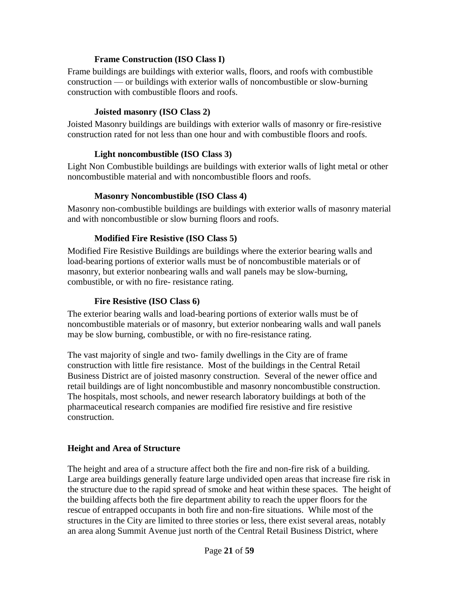#### **Frame Construction (ISO Class I)**

Frame buildings are buildings with exterior walls, floors, and roofs with combustible construction — or buildings with exterior walls of noncombustible or slow-burning construction with combustible floors and roofs.

#### **Joisted masonry (ISO Class 2)**

Joisted Masonry buildings are buildings with exterior walls of masonry or fire-resistive construction rated for not less than one hour and with combustible floors and roofs.

#### **Light noncombustible (ISO Class 3)**

Light Non Combustible buildings are buildings with exterior walls of light metal or other noncombustible material and with noncombustible floors and roofs.

#### **Masonry Noncombustible (ISO Class 4)**

Masonry non-combustible buildings are buildings with exterior walls of masonry material and with noncombustible or slow burning floors and roofs.

#### **Modified Fire Resistive (ISO Class 5)**

Modified Fire Resistive Buildings are buildings where the exterior bearing walls and load-bearing portions of exterior walls must be of noncombustible materials or of masonry, but exterior nonbearing walls and wall panels may be slow-burning, combustible, or with no fire- resistance rating.

#### **Fire Resistive (ISO Class 6)**

The exterior bearing walls and load-bearing portions of exterior walls must be of noncombustible materials or of masonry, but exterior nonbearing walls and wall panels may be slow burning, combustible, or with no fire-resistance rating.

The vast majority of single and two- family dwellings in the City are of frame construction with little fire resistance. Most of the buildings in the Central Retail Business District are of joisted masonry construction. Several of the newer office and retail buildings are of light noncombustible and masonry noncombustible construction. The hospitals, most schools, and newer research laboratory buildings at both of the pharmaceutical research companies are modified fire resistive and fire resistive construction.

#### **Height and Area of Structure**

The height and area of a structure affect both the fire and non-fire risk of a building. Large area buildings generally feature large undivided open areas that increase fire risk in the structure due to the rapid spread of smoke and heat within these spaces. The height of the building affects both the fire department ability to reach the upper floors for the rescue of entrapped occupants in both fire and non-fire situations. While most of the structures in the City are limited to three stories or less, there exist several areas, notably an area along Summit Avenue just north of the Central Retail Business District, where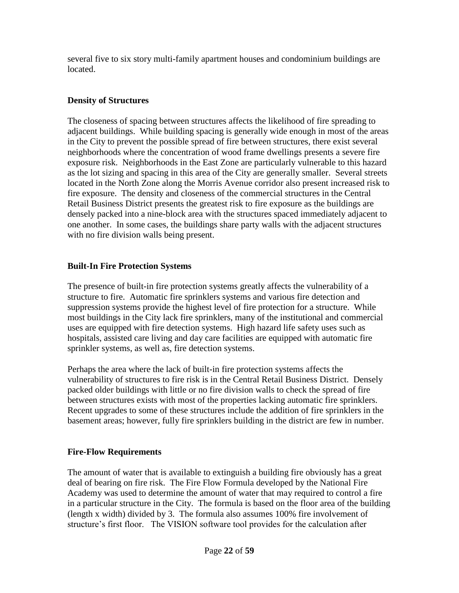several five to six story multi-family apartment houses and condominium buildings are located.

#### **Density of Structures**

The closeness of spacing between structures affects the likelihood of fire spreading to adjacent buildings. While building spacing is generally wide enough in most of the areas in the City to prevent the possible spread of fire between structures, there exist several neighborhoods where the concentration of wood frame dwellings presents a severe fire exposure risk. Neighborhoods in the East Zone are particularly vulnerable to this hazard as the lot sizing and spacing in this area of the City are generally smaller. Several streets located in the North Zone along the Morris Avenue corridor also present increased risk to fire exposure. The density and closeness of the commercial structures in the Central Retail Business District presents the greatest risk to fire exposure as the buildings are densely packed into a nine-block area with the structures spaced immediately adjacent to one another. In some cases, the buildings share party walls with the adjacent structures with no fire division walls being present.

#### **Built-In Fire Protection Systems**

The presence of built-in fire protection systems greatly affects the vulnerability of a structure to fire. Automatic fire sprinklers systems and various fire detection and suppression systems provide the highest level of fire protection for a structure. While most buildings in the City lack fire sprinklers, many of the institutional and commercial uses are equipped with fire detection systems. High hazard life safety uses such as hospitals, assisted care living and day care facilities are equipped with automatic fire sprinkler systems, as well as, fire detection systems.

Perhaps the area where the lack of built-in fire protection systems affects the vulnerability of structures to fire risk is in the Central Retail Business District. Densely packed older buildings with little or no fire division walls to check the spread of fire between structures exists with most of the properties lacking automatic fire sprinklers. Recent upgrades to some of these structures include the addition of fire sprinklers in the basement areas; however, fully fire sprinklers building in the district are few in number.

#### **Fire-Flow Requirements**

The amount of water that is available to extinguish a building fire obviously has a great deal of bearing on fire risk. The Fire Flow Formula developed by the National Fire Academy was used to determine the amount of water that may required to control a fire in a particular structure in the City. The formula is based on the floor area of the building (length x width) divided by 3. The formula also assumes 100% fire involvement of structure's first floor. The VISION software tool provides for the calculation after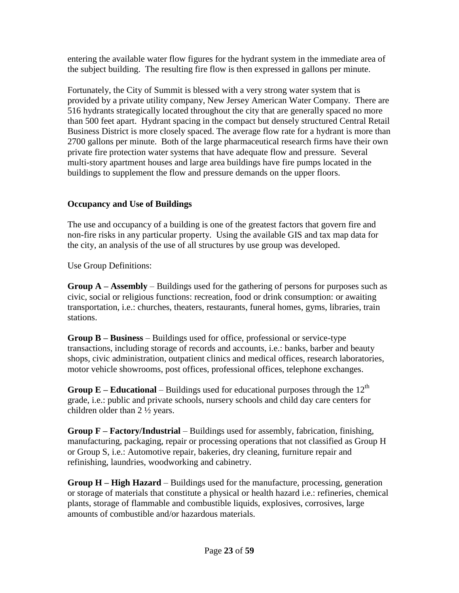entering the available water flow figures for the hydrant system in the immediate area of the subject building. The resulting fire flow is then expressed in gallons per minute.

Fortunately, the City of Summit is blessed with a very strong water system that is provided by a private utility company, New Jersey American Water Company. There are 516 hydrants strategically located throughout the city that are generally spaced no more than 500 feet apart. Hydrant spacing in the compact but densely structured Central Retail Business District is more closely spaced. The average flow rate for a hydrant is more than 2700 gallons per minute. Both of the large pharmaceutical research firms have their own private fire protection water systems that have adequate flow and pressure. Several multi-story apartment houses and large area buildings have fire pumps located in the buildings to supplement the flow and pressure demands on the upper floors.

#### **Occupancy and Use of Buildings**

The use and occupancy of a building is one of the greatest factors that govern fire and non-fire risks in any particular property. Using the available GIS and tax map data for the city, an analysis of the use of all structures by use group was developed.

Use Group Definitions:

**Group A – Assembly** – Buildings used for the gathering of persons for purposes such as civic, social or religious functions: recreation, food or drink consumption: or awaiting transportation, i.e.: churches, theaters, restaurants, funeral homes, gyms, libraries, train stations.

**Group B – Business** – Buildings used for office, professional or service-type transactions, including storage of records and accounts, i.e.: banks, barber and beauty shops, civic administration, outpatient clinics and medical offices, research laboratories, motor vehicle showrooms, post offices, professional offices, telephone exchanges.

**Group E** – **Educational** – Buildings used for educational purposes through the  $12<sup>th</sup>$ grade, i.e.: public and private schools, nursery schools and child day care centers for children older than 2 ½ years.

**Group F – Factory/Industrial** – Buildings used for assembly, fabrication, finishing, manufacturing, packaging, repair or processing operations that not classified as Group H or Group S, i.e.: Automotive repair, bakeries, dry cleaning, furniture repair and refinishing, laundries, woodworking and cabinetry.

**Group H – High Hazard** – Buildings used for the manufacture, processing, generation or storage of materials that constitute a physical or health hazard i.e.: refineries, chemical plants, storage of flammable and combustible liquids, explosives, corrosives, large amounts of combustible and/or hazardous materials.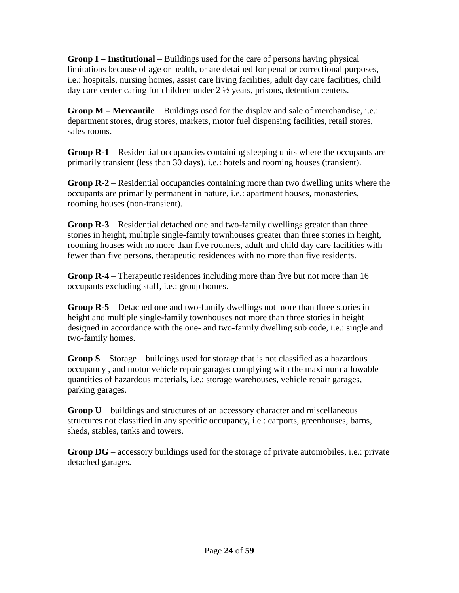**Group I – Institutional** – Buildings used for the care of persons having physical limitations because of age or health, or are detained for penal or correctional purposes, i.e.: hospitals, nursing homes, assist care living facilities, adult day care facilities, child day care center caring for children under 2 ½ years, prisons, detention centers.

**Group M – Mercantile** – Buildings used for the display and sale of merchandise, i.e.: department stores, drug stores, markets, motor fuel dispensing facilities, retail stores, sales rooms.

**Group R-1** – Residential occupancies containing sleeping units where the occupants are primarily transient (less than 30 days), i.e.: hotels and rooming houses (transient).

**Group R-2** – Residential occupancies containing more than two dwelling units where the occupants are primarily permanent in nature, i.e.: apartment houses, monasteries, rooming houses (non-transient).

**Group R-3** – Residential detached one and two-family dwellings greater than three stories in height, multiple single-family townhouses greater than three stories in height, rooming houses with no more than five roomers, adult and child day care facilities with fewer than five persons, therapeutic residences with no more than five residents.

**Group R-4** – Therapeutic residences including more than five but not more than 16 occupants excluding staff, i.e.: group homes.

**Group R-5** – Detached one and two-family dwellings not more than three stories in height and multiple single-family townhouses not more than three stories in height designed in accordance with the one- and two-family dwelling sub code, i.e.: single and two-family homes.

**Group S** – Storage – buildings used for storage that is not classified as a hazardous occupancy , and motor vehicle repair garages complying with the maximum allowable quantities of hazardous materials, i.e.: storage warehouses, vehicle repair garages, parking garages.

**Group U** – buildings and structures of an accessory character and miscellaneous structures not classified in any specific occupancy, i.e.: carports, greenhouses, barns, sheds, stables, tanks and towers.

**Group DG** – accessory buildings used for the storage of private automobiles, i.e.: private detached garages.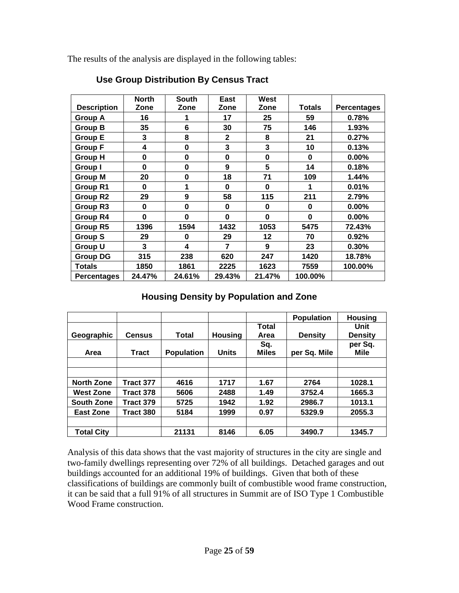The results of the analysis are displayed in the following tables:

|                    | <b>North</b> | <b>South</b> | East           | West     |               |                    |
|--------------------|--------------|--------------|----------------|----------|---------------|--------------------|
| <b>Description</b> | Zone         | Zone         | Zone           | Zone     | <b>Totals</b> | <b>Percentages</b> |
| <b>Group A</b>     | 16           |              | 17             | 25       | 59            | 0.78%              |
| <b>Group B</b>     | 35           | 6            | 30             | 75       | 146           | 1.93%              |
| <b>Group E</b>     | 3            | 8            | $\mathbf{2}$   | 8        | 21            | 0.27%              |
| <b>Group F</b>     | 4            | 0            | 3              | 3        | 10            | 0.13%              |
| <b>Group H</b>     | 0            | 0            | 0              | $\bf{0}$ | 0             | $0.00\%$           |
| Group I            | 0            | 0            | 9              | 5        | 14            | 0.18%              |
| <b>Group M</b>     | 20           | $\bf{0}$     | 18             | 71       | 109           | 1.44%              |
| <b>Group R1</b>    | 0            | 1            | 0              | $\bf{0}$ |               | 0.01%              |
| Group R2           | 29           | 9            | 58             | 115      | 211           | 2.79%              |
| Group R3           | 0            | 0            | 0              | 0        | $\bf{0}$      | $0.00\%$           |
| <b>Group R4</b>    | 0            | $\bf{0}$     | $\bf{0}$       | 0        | $\bf{0}$      | $0.00\%$           |
| Group R5           | 1396         | 1594         | 1432           | 1053     | 5475          | 72.43%             |
| Group S            | 29           | 0            | 29             | 12       | 70            | 0.92%              |
| <b>Group U</b>     | 3            | 4            | $\overline{7}$ | 9        | 23            | 0.30%              |
| <b>Group DG</b>    | 315          | 238          | 620            | 247      | 1420          | 18.78%             |
| <b>Totals</b>      | 1850         | 1861         | 2225           | 1623     | 7559          | 100.00%            |
| <b>Percentages</b> | 24.47%       | 24.61%       | 29.43%         | 21.47%   | 100.00%       |                    |

#### **Use Group Distribution By Census Tract r**

#### **Housing Density by Population and Zone**

|                   |               |                   |                |              | <b>Population</b> | <b>Housing</b> |
|-------------------|---------------|-------------------|----------------|--------------|-------------------|----------------|
|                   |               |                   |                | Total        |                   | Unit           |
| Geographic        | <b>Census</b> | Total             | <b>Housing</b> | Area         | <b>Density</b>    | <b>Density</b> |
|                   |               |                   |                | Sq.          |                   | per Sq.        |
| Area              | <b>Tract</b>  | <b>Population</b> | <b>Units</b>   | <b>Miles</b> | per Sq. Mile      | Mile           |
|                   |               |                   |                |              |                   |                |
|                   |               |                   |                |              |                   |                |
| <b>North Zone</b> | Tract 377     | 4616              | 1717           | 1.67         | 2764              | 1028.1         |
| <b>West Zone</b>  | Tract 378     | 5606              | 2488           | 1.49         | 3752.4            | 1665.3         |
| <b>South Zone</b> | Tract 379     | 5725              | 1942           | 1.92         | 2986.7            | 1013.1         |
| East Zone         | Tract 380     | 5184              | 1999           | 0.97         | 5329.9            | 2055.3         |
|                   |               |                   |                |              |                   |                |
| <b>Total City</b> |               | 21131             | 8146           | 6.05         | 3490.7            | 1345.7         |

Analysis of this data shows that the vast majority of structures in the city are single and two-family dwellings representing over 72% of all buildings. Detached garages and out buildings accounted for an additional 19% of buildings. Given that both of these classifications of buildings are commonly built of combustible wood frame construction, it can be said that a full 91% of all structures in Summit are of ISO Type 1 Combustible Wood Frame construction.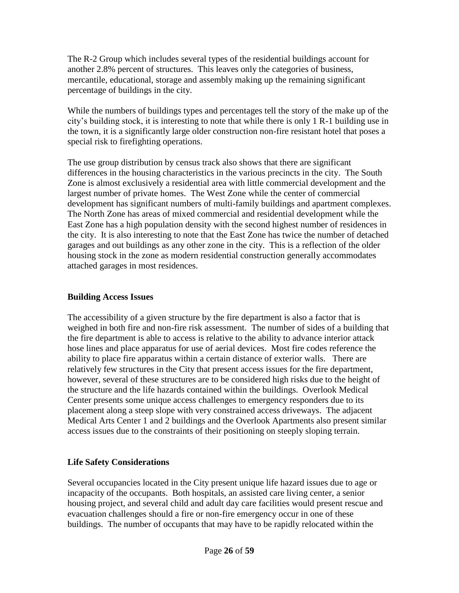The R-2 Group which includes several types of the residential buildings account for another 2.8% percent of structures. This leaves only the categories of business, mercantile, educational, storage and assembly making up the remaining significant percentage of buildings in the city.

While the numbers of buildings types and percentages tell the story of the make up of the city's building stock, it is interesting to note that while there is only 1 R-1 building use in the town, it is a significantly large older construction non-fire resistant hotel that poses a special risk to firefighting operations.

The use group distribution by census track also shows that there are significant differences in the housing characteristics in the various precincts in the city. The South Zone is almost exclusively a residential area with little commercial development and the largest number of private homes. The West Zone while the center of commercial development has significant numbers of multi-family buildings and apartment complexes. The North Zone has areas of mixed commercial and residential development while the East Zone has a high population density with the second highest number of residences in the city. It is also interesting to note that the East Zone has twice the number of detached garages and out buildings as any other zone in the city. This is a reflection of the older housing stock in the zone as modern residential construction generally accommodates attached garages in most residences.

#### **Building Access Issues**

The accessibility of a given structure by the fire department is also a factor that is weighed in both fire and non-fire risk assessment. The number of sides of a building that the fire department is able to access is relative to the ability to advance interior attack hose lines and place apparatus for use of aerial devices. Most fire codes reference the ability to place fire apparatus within a certain distance of exterior walls. There are relatively few structures in the City that present access issues for the fire department, however, several of these structures are to be considered high risks due to the height of the structure and the life hazards contained within the buildings. Overlook Medical Center presents some unique access challenges to emergency responders due to its placement along a steep slope with very constrained access driveways. The adjacent Medical Arts Center 1 and 2 buildings and the Overlook Apartments also present similar access issues due to the constraints of their positioning on steeply sloping terrain.

#### **Life Safety Considerations**

Several occupancies located in the City present unique life hazard issues due to age or incapacity of the occupants. Both hospitals, an assisted care living center, a senior housing project, and several child and adult day care facilities would present rescue and evacuation challenges should a fire or non-fire emergency occur in one of these buildings. The number of occupants that may have to be rapidly relocated within the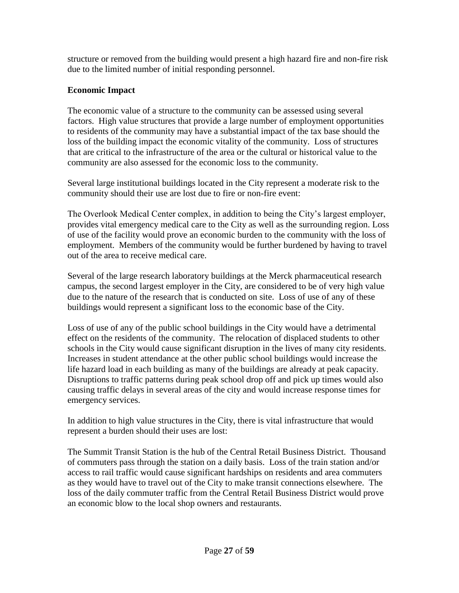structure or removed from the building would present a high hazard fire and non-fire risk due to the limited number of initial responding personnel.

#### **Economic Impact**

The economic value of a structure to the community can be assessed using several factors. High value structures that provide a large number of employment opportunities to residents of the community may have a substantial impact of the tax base should the loss of the building impact the economic vitality of the community. Loss of structures that are critical to the infrastructure of the area or the cultural or historical value to the community are also assessed for the economic loss to the community.

Several large institutional buildings located in the City represent a moderate risk to the community should their use are lost due to fire or non-fire event:

The Overlook Medical Center complex, in addition to being the City's largest employer, provides vital emergency medical care to the City as well as the surrounding region. Loss of use of the facility would prove an economic burden to the community with the loss of employment. Members of the community would be further burdened by having to travel out of the area to receive medical care.

Several of the large research laboratory buildings at the Merck pharmaceutical research campus, the second largest employer in the City, are considered to be of very high value due to the nature of the research that is conducted on site. Loss of use of any of these buildings would represent a significant loss to the economic base of the City.

Loss of use of any of the public school buildings in the City would have a detrimental effect on the residents of the community. The relocation of displaced students to other schools in the City would cause significant disruption in the lives of many city residents. Increases in student attendance at the other public school buildings would increase the life hazard load in each building as many of the buildings are already at peak capacity. Disruptions to traffic patterns during peak school drop off and pick up times would also causing traffic delays in several areas of the city and would increase response times for emergency services.

In addition to high value structures in the City, there is vital infrastructure that would represent a burden should their uses are lost:

The Summit Transit Station is the hub of the Central Retail Business District. Thousand of commuters pass through the station on a daily basis. Loss of the train station and/or access to rail traffic would cause significant hardships on residents and area commuters as they would have to travel out of the City to make transit connections elsewhere. The loss of the daily commuter traffic from the Central Retail Business District would prove an economic blow to the local shop owners and restaurants.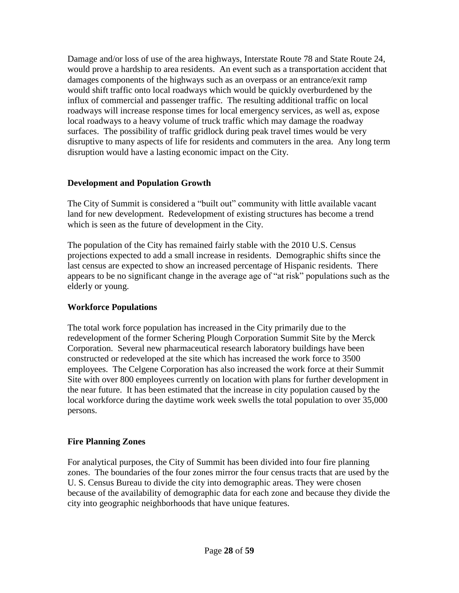Damage and/or loss of use of the area highways, Interstate Route 78 and State Route 24, would prove a hardship to area residents. An event such as a transportation accident that damages components of the highways such as an overpass or an entrance/exit ramp would shift traffic onto local roadways which would be quickly overburdened by the influx of commercial and passenger traffic. The resulting additional traffic on local roadways will increase response times for local emergency services, as well as, expose local roadways to a heavy volume of truck traffic which may damage the roadway surfaces. The possibility of traffic gridlock during peak travel times would be very disruptive to many aspects of life for residents and commuters in the area. Any long term disruption would have a lasting economic impact on the City.

#### **Development and Population Growth**

The City of Summit is considered a "built out" community with little available vacant land for new development. Redevelopment of existing structures has become a trend which is seen as the future of development in the City.

The population of the City has remained fairly stable with the 2010 U.S. Census projections expected to add a small increase in residents. Demographic shifts since the last census are expected to show an increased percentage of Hispanic residents. There appears to be no significant change in the average age of "at risk" populations such as the elderly or young.

#### **Workforce Populations**

The total work force population has increased in the City primarily due to the redevelopment of the former Schering Plough Corporation Summit Site by the Merck Corporation. Several new pharmaceutical research laboratory buildings have been constructed or redeveloped at the site which has increased the work force to 3500 employees. The Celgene Corporation has also increased the work force at their Summit Site with over 800 employees currently on location with plans for further development in the near future. It has been estimated that the increase in city population caused by the local workforce during the daytime work week swells the total population to over 35,000 persons.

#### **Fire Planning Zones**

For analytical purposes, the City of Summit has been divided into four fire planning zones. The boundaries of the four zones mirror the four census tracts that are used by the U. S. Census Bureau to divide the city into demographic areas. They were chosen because of the availability of demographic data for each zone and because they divide the city into geographic neighborhoods that have unique features.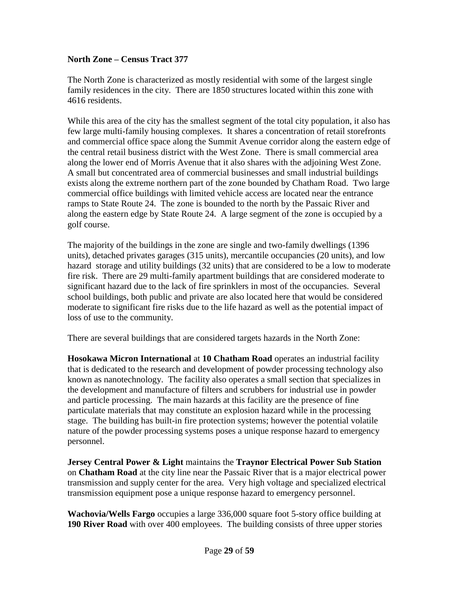#### **North Zone – Census Tract 377**

The North Zone is characterized as mostly residential with some of the largest single family residences in the city. There are 1850 structures located within this zone with 4616 residents.

While this area of the city has the smallest segment of the total city population, it also has few large multi-family housing complexes. It shares a concentration of retail storefronts and commercial office space along the Summit Avenue corridor along the eastern edge of the central retail business district with the West Zone. There is small commercial area along the lower end of Morris Avenue that it also shares with the adjoining West Zone. A small but concentrated area of commercial businesses and small industrial buildings exists along the extreme northern part of the zone bounded by Chatham Road. Two large commercial office buildings with limited vehicle access are located near the entrance ramps to State Route 24. The zone is bounded to the north by the Passaic River and along the eastern edge by State Route 24. A large segment of the zone is occupied by a golf course.

The majority of the buildings in the zone are single and two-family dwellings (1396 units), detached privates garages (315 units), mercantile occupancies (20 units), and low hazard storage and utility buildings (32 units) that are considered to be a low to moderate fire risk. There are 29 multi-family apartment buildings that are considered moderate to significant hazard due to the lack of fire sprinklers in most of the occupancies. Several school buildings, both public and private are also located here that would be considered moderate to significant fire risks due to the life hazard as well as the potential impact of loss of use to the community.

There are several buildings that are considered targets hazards in the North Zone:

**Hosokawa Micron International** at **10 Chatham Road** operates an industrial facility that is dedicated to the research and development of powder processing technology also known as nanotechnology. The facility also operates a small section that specializes in the development and manufacture of filters and scrubbers for industrial use in powder and particle processing. The main hazards at this facility are the presence of fine particulate materials that may constitute an explosion hazard while in the processing stage. The building has built-in fire protection systems; however the potential volatile nature of the powder processing systems poses a unique response hazard to emergency personnel.

**Jersey Central Power & Light** maintains the **Traynor Electrical Power Sub Station** on **Chatham Road** at the city line near the Passaic River that is a major electrical power transmission and supply center for the area. Very high voltage and specialized electrical transmission equipment pose a unique response hazard to emergency personnel.

**Wachovia/Wells Fargo** occupies a large 336,000 square foot 5-story office building at **190 River Road** with over 400 employees. The building consists of three upper stories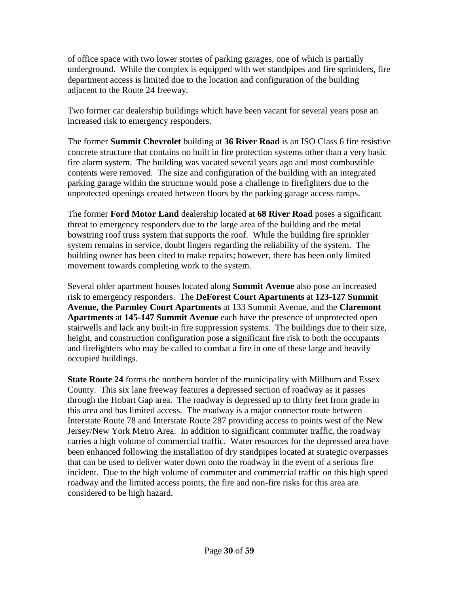of office space with two lower stories of parking garages, one of which is partially underground. While the complex is equipped with wet standpipes and fire sprinklers, fire department access is limited due to the location and configuration of the building adjacent to the Route 24 freeway.

Two former car dealership buildings which have been vacant for several years pose an increased risk to emergency responders.

The former **Summit Chevrolet** building at **36 River Road** is an ISO Class 6 fire resistive concrete structure that contains no built in fire protection systems other than a very basic fire alarm system. The building was vacated several years ago and most combustible contents were removed. The size and configuration of the building with an integrated parking garage within the structure would pose a challenge to firefighters due to the unprotected openings created between floors by the parking garage access ramps.

The former **Ford Motor Land** dealership located at **68 River Road** poses a significant threat to emergency responders due to the large area of the building and the metal bowstring roof truss system that supports the roof. While the building fire sprinkler system remains in service, doubt lingers regarding the reliability of the system. The building owner has been cited to make repairs; however, there has been only limited movement towards completing work to the system.

Several older apartment houses located along **Summit Avenue** also pose an increased risk to emergency responders. The **DeForest Court Apartments** at **123-127 Summit Avenue, the Parmley Court Apartments** at 133 Summit Avenue, and the **Claremont Apartments** at **145-147 Summit Avenue** each have the presence of unprotected open stairwells and lack any built-in fire suppression systems. The buildings due to their size, height, and construction configuration pose a significant fire risk to both the occupants and firefighters who may be called to combat a fire in one of these large and heavily occupied buildings.

**State Route 24** forms the northern border of the municipality with Millburn and Essex County. This six lane freeway features a depressed section of roadway as it passes through the Hobart Gap area. The roadway is depressed up to thirty feet from grade in this area and has limited access. The roadway is a major connector route between Interstate Route 78 and Interstate Route 287 providing access to points west of the New Jersey/New York Metro Area. In addition to significant commuter traffic, the roadway carries a high volume of commercial traffic. Water resources for the depressed area have been enhanced following the installation of dry standpipes located at strategic overpasses that can be used to deliver water down onto the roadway in the event of a serious fire incident. Due to the high volume of commuter and commercial traffic on this high speed roadway and the limited access points, the fire and non-fire risks for this area are considered to be high hazard.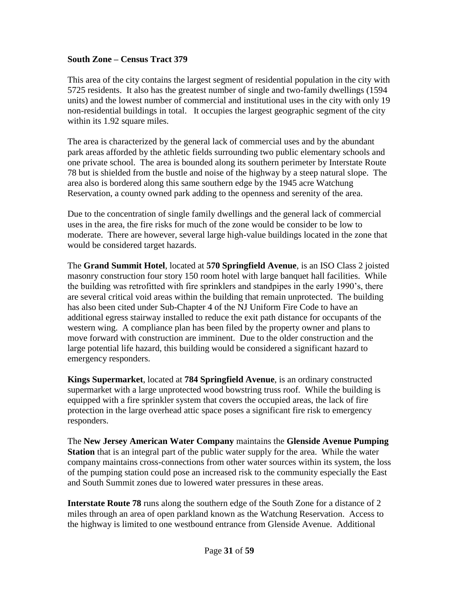#### **South Zone – Census Tract 379**

This area of the city contains the largest segment of residential population in the city with 5725 residents. It also has the greatest number of single and two-family dwellings (1594 units) and the lowest number of commercial and institutional uses in the city with only 19 non-residential buildings in total. It occupies the largest geographic segment of the city within its 1.92 square miles.

The area is characterized by the general lack of commercial uses and by the abundant park areas afforded by the athletic fields surrounding two public elementary schools and one private school. The area is bounded along its southern perimeter by Interstate Route 78 but is shielded from the bustle and noise of the highway by a steep natural slope. The area also is bordered along this same southern edge by the 1945 acre Watchung Reservation, a county owned park adding to the openness and serenity of the area.

Due to the concentration of single family dwellings and the general lack of commercial uses in the area, the fire risks for much of the zone would be consider to be low to moderate. There are however, several large high-value buildings located in the zone that would be considered target hazards.

The **Grand Summit Hotel**, located at **570 Springfield Avenue**, is an ISO Class 2 joisted masonry construction four story 150 room hotel with large banquet hall facilities. While the building was retrofitted with fire sprinklers and standpipes in the early 1990's, there are several critical void areas within the building that remain unprotected. The building has also been cited under Sub-Chapter 4 of the NJ Uniform Fire Code to have an additional egress stairway installed to reduce the exit path distance for occupants of the western wing. A compliance plan has been filed by the property owner and plans to move forward with construction are imminent. Due to the older construction and the large potential life hazard, this building would be considered a significant hazard to emergency responders.

**Kings Supermarket**, located at **784 Springfield Avenue**, is an ordinary constructed supermarket with a large unprotected wood bowstring truss roof. While the building is equipped with a fire sprinkler system that covers the occupied areas, the lack of fire protection in the large overhead attic space poses a significant fire risk to emergency responders.

The **New Jersey American Water Company** maintains the **Glenside Avenue Pumping Station** that is an integral part of the public water supply for the area. While the water company maintains cross-connections from other water sources within its system, the loss of the pumping station could pose an increased risk to the community especially the East and South Summit zones due to lowered water pressures in these areas.

**Interstate Route 78** runs along the southern edge of the South Zone for a distance of 2 miles through an area of open parkland known as the Watchung Reservation. Access to the highway is limited to one westbound entrance from Glenside Avenue. Additional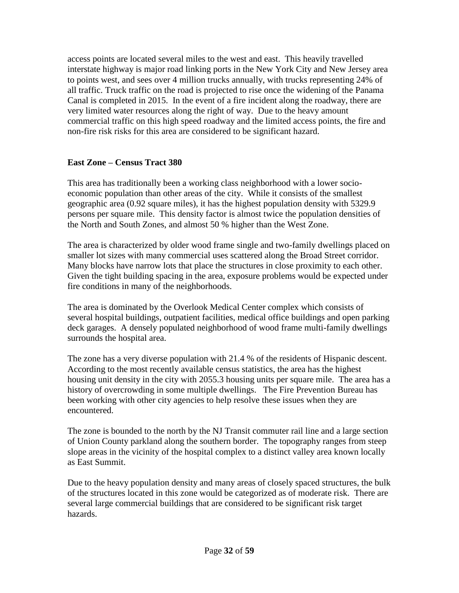access points are located several miles to the west and east. This heavily travelled interstate highway is major road linking ports in the New York City and New Jersey area to points west, and sees over 4 million trucks annually, with trucks representing 24% of all traffic. Truck traffic on the road is projected to rise once the widening of the Panama Canal is completed in 2015. In the event of a fire incident along the roadway, there are very limited water resources along the right of way. Due to the heavy amount commercial traffic on this high speed roadway and the limited access points, the fire and non-fire risk risks for this area are considered to be significant hazard.

#### **East Zone – Census Tract 380**

This area has traditionally been a working class neighborhood with a lower socioeconomic population than other areas of the city. While it consists of the smallest geographic area (0.92 square miles), it has the highest population density with 5329.9 persons per square mile. This density factor is almost twice the population densities of the North and South Zones, and almost 50 % higher than the West Zone.

The area is characterized by older wood frame single and two-family dwellings placed on smaller lot sizes with many commercial uses scattered along the Broad Street corridor. Many blocks have narrow lots that place the structures in close proximity to each other. Given the tight building spacing in the area, exposure problems would be expected under fire conditions in many of the neighborhoods.

The area is dominated by the Overlook Medical Center complex which consists of several hospital buildings, outpatient facilities, medical office buildings and open parking deck garages. A densely populated neighborhood of wood frame multi-family dwellings surrounds the hospital area.

The zone has a very diverse population with 21.4 % of the residents of Hispanic descent. According to the most recently available census statistics, the area has the highest housing unit density in the city with 2055.3 housing units per square mile. The area has a history of overcrowding in some multiple dwellings. The Fire Prevention Bureau has been working with other city agencies to help resolve these issues when they are encountered.

The zone is bounded to the north by the NJ Transit commuter rail line and a large section of Union County parkland along the southern border. The topography ranges from steep slope areas in the vicinity of the hospital complex to a distinct valley area known locally as East Summit.

Due to the heavy population density and many areas of closely spaced structures, the bulk of the structures located in this zone would be categorized as of moderate risk. There are several large commercial buildings that are considered to be significant risk target hazards.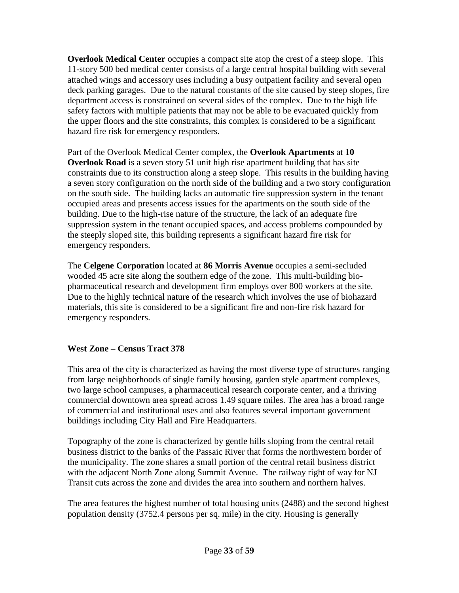**Overlook Medical Center** occupies a compact site atop the crest of a steep slope. This 11-story 500 bed medical center consists of a large central hospital building with several attached wings and accessory uses including a busy outpatient facility and several open deck parking garages. Due to the natural constants of the site caused by steep slopes, fire department access is constrained on several sides of the complex. Due to the high life safety factors with multiple patients that may not be able to be evacuated quickly from the upper floors and the site constraints, this complex is considered to be a significant hazard fire risk for emergency responders.

Part of the Overlook Medical Center complex, the **Overlook Apartments** at **10 Overlook Road** is a seven story 51 unit high rise apartment building that has site constraints due to its construction along a steep slope. This results in the building having a seven story configuration on the north side of the building and a two story configuration on the south side. The building lacks an automatic fire suppression system in the tenant occupied areas and presents access issues for the apartments on the south side of the building. Due to the high-rise nature of the structure, the lack of an adequate fire suppression system in the tenant occupied spaces, and access problems compounded by the steeply sloped site, this building represents a significant hazard fire risk for emergency responders.

The **Celgene Corporation** located at **86 Morris Avenue** occupies a semi-secluded wooded 45 acre site along the southern edge of the zone. This multi-building biopharmaceutical research and development firm employs over 800 workers at the site. Due to the highly technical nature of the research which involves the use of biohazard materials, this site is considered to be a significant fire and non-fire risk hazard for emergency responders.

#### **West Zone – Census Tract 378**

This area of the city is characterized as having the most diverse type of structures ranging from large neighborhoods of single family housing, garden style apartment complexes, two large school campuses, a pharmaceutical research corporate center, and a thriving commercial downtown area spread across 1.49 square miles. The area has a broad range of commercial and institutional uses and also features several important government buildings including City Hall and Fire Headquarters.

Topography of the zone is characterized by gentle hills sloping from the central retail business district to the banks of the Passaic River that forms the northwestern border of the municipality. The zone shares a small portion of the central retail business district with the adjacent North Zone along Summit Avenue. The railway right of way for NJ Transit cuts across the zone and divides the area into southern and northern halves.

The area features the highest number of total housing units (2488) and the second highest population density (3752.4 persons per sq. mile) in the city. Housing is generally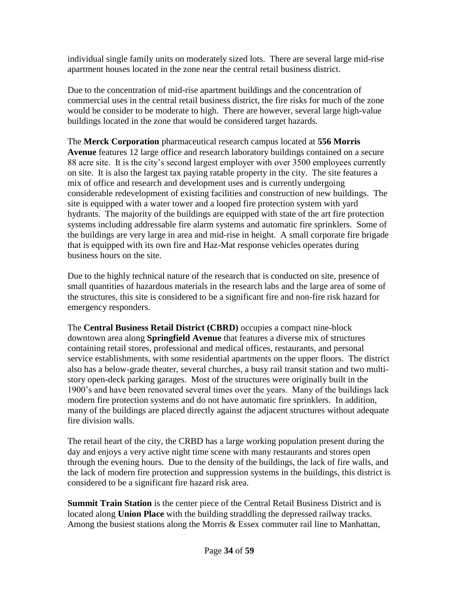individual single family units on moderately sized lots. There are several large mid-rise apartment houses located in the zone near the central retail business district.

Due to the concentration of mid-rise apartment buildings and the concentration of commercial uses in the central retail business district, the fire risks for much of the zone would be consider to be moderate to high. There are however, several large high-value buildings located in the zone that would be considered target hazards.

The **Merck Corporation** pharmaceutical research campus located at **556 Morris Avenue** features 12 large office and research laboratory buildings contained on a secure 88 acre site. It is the city's second largest employer with over 3500 employees currently on site. It is also the largest tax paying ratable property in the city. The site features a mix of office and research and development uses and is currently undergoing considerable redevelopment of existing facilities and construction of new buildings. The site is equipped with a water tower and a looped fire protection system with yard hydrants. The majority of the buildings are equipped with state of the art fire protection systems including addressable fire alarm systems and automatic fire sprinklers. Some of the buildings are very large in area and mid-rise in height. A small corporate fire brigade that is equipped with its own fire and Haz-Mat response vehicles operates during business hours on the site.

Due to the highly technical nature of the research that is conducted on site, presence of small quantities of hazardous materials in the research labs and the large area of some of the structures, this site is considered to be a significant fire and non-fire risk hazard for emergency responders.

The **Central Business Retail District (CBRD)** occupies a compact nine-block downtown area along **Springfield Avenue** that features a diverse mix of structures containing retail stores, professional and medical offices, restaurants, and personal service establishments, with some residential apartments on the upper floors. The district also has a below-grade theater, several churches, a busy rail transit station and two multistory open-deck parking garages. Most of the structures were originally built in the 1900's and have been renovated several times over the years. Many of the buildings lack modern fire protection systems and do not have automatic fire sprinklers. In addition, many of the buildings are placed directly against the adjacent structures without adequate fire division walls.

The retail heart of the city, the CRBD has a large working population present during the day and enjoys a very active night time scene with many restaurants and stores open through the evening hours. Due to the density of the buildings, the lack of fire walls, and the lack of modern fire protection and suppression systems in the buildings, this district is considered to be a significant fire hazard risk area.

**Summit Train Station** is the center piece of the Central Retail Business District and is located along **Union Place** with the building straddling the depressed railway tracks. Among the busiest stations along the Morris & Essex commuter rail line to Manhattan,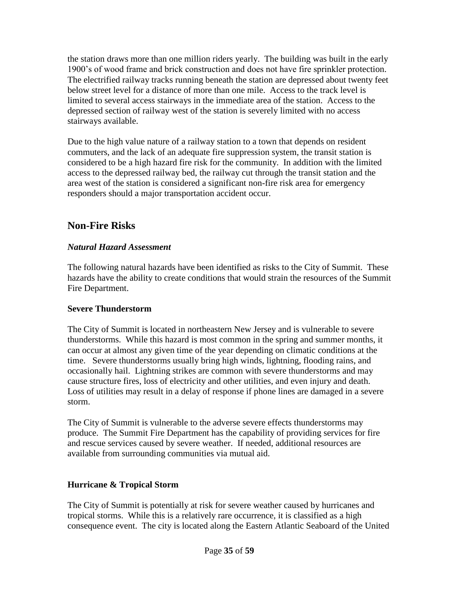the station draws more than one million riders yearly. The building was built in the early 1900's of wood frame and brick construction and does not have fire sprinkler protection. The electrified railway tracks running beneath the station are depressed about twenty feet below street level for a distance of more than one mile. Access to the track level is limited to several access stairways in the immediate area of the station. Access to the depressed section of railway west of the station is severely limited with no access stairways available.

Due to the high value nature of a railway station to a town that depends on resident commuters, and the lack of an adequate fire suppression system, the transit station is considered to be a high hazard fire risk for the community. In addition with the limited access to the depressed railway bed, the railway cut through the transit station and the area west of the station is considered a significant non-fire risk area for emergency responders should a major transportation accident occur.

#### **Non-Fire Risks**

#### *Natural Hazard Assessment*

The following natural hazards have been identified as risks to the City of Summit. These hazards have the ability to create conditions that would strain the resources of the Summit Fire Department.

#### **Severe Thunderstorm**

The City of Summit is located in northeastern New Jersey and is vulnerable to severe thunderstorms. While this hazard is most common in the spring and summer months, it can occur at almost any given time of the year depending on climatic conditions at the time. Severe thunderstorms usually bring high winds, lightning, flooding rains, and occasionally hail. Lightning strikes are common with severe thunderstorms and may cause structure fires, loss of electricity and other utilities, and even injury and death. Loss of utilities may result in a delay of response if phone lines are damaged in a severe storm.

The City of Summit is vulnerable to the adverse severe effects thunderstorms may produce. The Summit Fire Department has the capability of providing services for fire and rescue services caused by severe weather. If needed, additional resources are available from surrounding communities via mutual aid.

#### **Hurricane & Tropical Storm**

The City of Summit is potentially at risk for severe weather caused by hurricanes and tropical storms. While this is a relatively rare occurrence, it is classified as a high consequence event. The city is located along the Eastern Atlantic Seaboard of the United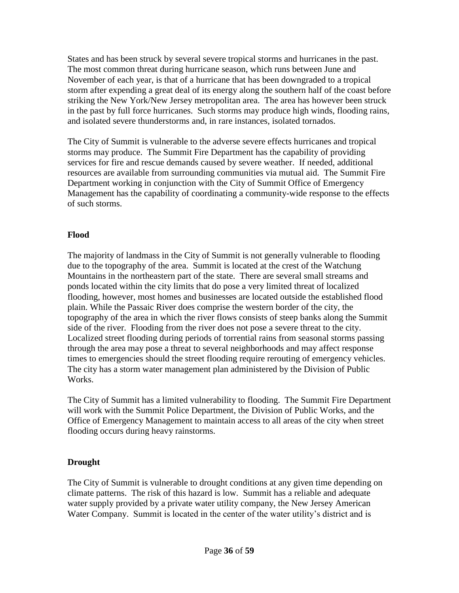States and has been struck by several severe tropical storms and hurricanes in the past. The most common threat during hurricane season, which runs between June and November of each year, is that of a hurricane that has been downgraded to a tropical storm after expending a great deal of its energy along the southern half of the coast before striking the New York/New Jersey metropolitan area. The area has however been struck in the past by full force hurricanes. Such storms may produce high winds, flooding rains, and isolated severe thunderstorms and, in rare instances, isolated tornados.

The City of Summit is vulnerable to the adverse severe effects hurricanes and tropical storms may produce. The Summit Fire Department has the capability of providing services for fire and rescue demands caused by severe weather. If needed, additional resources are available from surrounding communities via mutual aid. The Summit Fire Department working in conjunction with the City of Summit Office of Emergency Management has the capability of coordinating a community-wide response to the effects of such storms.

#### **Flood**

The majority of landmass in the City of Summit is not generally vulnerable to flooding due to the topography of the area. Summit is located at the crest of the Watchung Mountains in the northeastern part of the state. There are several small streams and ponds located within the city limits that do pose a very limited threat of localized flooding, however, most homes and businesses are located outside the established flood plain. While the Passaic River does comprise the western border of the city, the topography of the area in which the river flows consists of steep banks along the Summit side of the river. Flooding from the river does not pose a severe threat to the city. Localized street flooding during periods of torrential rains from seasonal storms passing through the area may pose a threat to several neighborhoods and may affect response times to emergencies should the street flooding require rerouting of emergency vehicles. The city has a storm water management plan administered by the Division of Public Works.

The City of Summit has a limited vulnerability to flooding. The Summit Fire Department will work with the Summit Police Department, the Division of Public Works, and the Office of Emergency Management to maintain access to all areas of the city when street flooding occurs during heavy rainstorms.

#### **Drought**

The City of Summit is vulnerable to drought conditions at any given time depending on climate patterns. The risk of this hazard is low. Summit has a reliable and adequate water supply provided by a private water utility company, the New Jersey American Water Company. Summit is located in the center of the water utility's district and is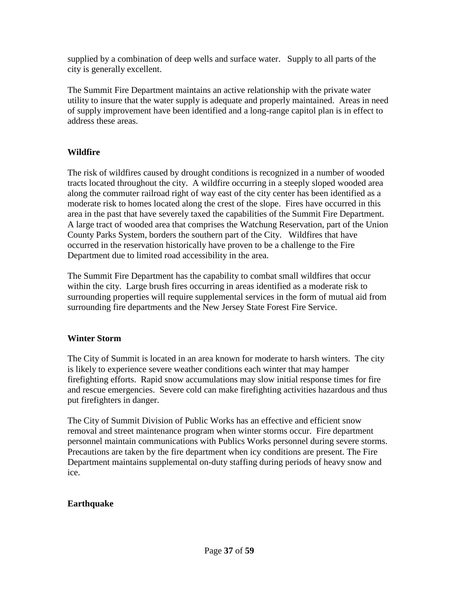supplied by a combination of deep wells and surface water. Supply to all parts of the city is generally excellent.

The Summit Fire Department maintains an active relationship with the private water utility to insure that the water supply is adequate and properly maintained. Areas in need of supply improvement have been identified and a long-range capitol plan is in effect to address these areas.

#### **Wildfire**

The risk of wildfires caused by drought conditions is recognized in a number of wooded tracts located throughout the city. A wildfire occurring in a steeply sloped wooded area along the commuter railroad right of way east of the city center has been identified as a moderate risk to homes located along the crest of the slope. Fires have occurred in this area in the past that have severely taxed the capabilities of the Summit Fire Department. A large tract of wooded area that comprises the Watchung Reservation, part of the Union County Parks System, borders the southern part of the City. Wildfires that have occurred in the reservation historically have proven to be a challenge to the Fire Department due to limited road accessibility in the area.

The Summit Fire Department has the capability to combat small wildfires that occur within the city. Large brush fires occurring in areas identified as a moderate risk to surrounding properties will require supplemental services in the form of mutual aid from surrounding fire departments and the New Jersey State Forest Fire Service.

#### **Winter Storm**

The City of Summit is located in an area known for moderate to harsh winters. The city is likely to experience severe weather conditions each winter that may hamper firefighting efforts. Rapid snow accumulations may slow initial response times for fire and rescue emergencies. Severe cold can make firefighting activities hazardous and thus put firefighters in danger.

The City of Summit Division of Public Works has an effective and efficient snow removal and street maintenance program when winter storms occur. Fire department personnel maintain communications with Publics Works personnel during severe storms. Precautions are taken by the fire department when icy conditions are present. The Fire Department maintains supplemental on-duty staffing during periods of heavy snow and ice.

#### **Earthquake**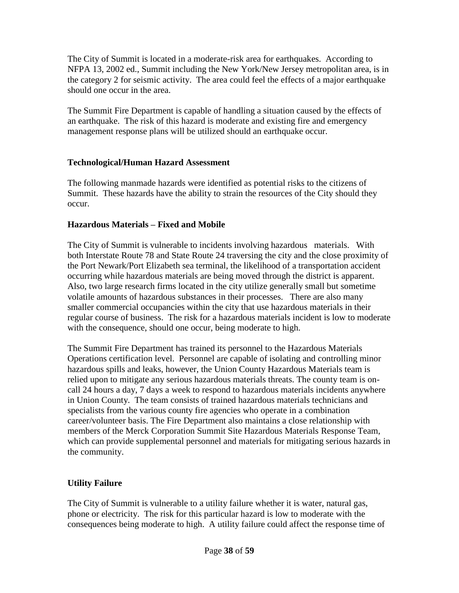The City of Summit is located in a moderate-risk area for earthquakes. According to NFPA 13, 2002 ed., Summit including the New York/New Jersey metropolitan area, is in the category 2 for seismic activity. The area could feel the effects of a major earthquake should one occur in the area.

The Summit Fire Department is capable of handling a situation caused by the effects of an earthquake. The risk of this hazard is moderate and existing fire and emergency management response plans will be utilized should an earthquake occur.

#### **Technological/Human Hazard Assessment**

The following manmade hazards were identified as potential risks to the citizens of Summit. These hazards have the ability to strain the resources of the City should they occur.

#### **Hazardous Materials – Fixed and Mobile**

The City of Summit is vulnerable to incidents involving hazardous materials. With both Interstate Route 78 and State Route 24 traversing the city and the close proximity of the Port Newark/Port Elizabeth sea terminal, the likelihood of a transportation accident occurring while hazardous materials are being moved through the district is apparent. Also, two large research firms located in the city utilize generally small but sometime volatile amounts of hazardous substances in their processes. There are also many smaller commercial occupancies within the city that use hazardous materials in their regular course of business. The risk for a hazardous materials incident is low to moderate with the consequence, should one occur, being moderate to high.

The Summit Fire Department has trained its personnel to the Hazardous Materials Operations certification level. Personnel are capable of isolating and controlling minor hazardous spills and leaks, however, the Union County Hazardous Materials team is relied upon to mitigate any serious hazardous materials threats. The county team is oncall 24 hours a day, 7 days a week to respond to hazardous materials incidents anywhere in Union County. The team consists of trained hazardous materials technicians and specialists from the various county fire agencies who operate in a combination career/volunteer basis. The Fire Department also maintains a close relationship with members of the Merck Corporation Summit Site Hazardous Materials Response Team, which can provide supplemental personnel and materials for mitigating serious hazards in the community.

#### **Utility Failure**

The City of Summit is vulnerable to a utility failure whether it is water, natural gas, phone or electricity. The risk for this particular hazard is low to moderate with the consequences being moderate to high. A utility failure could affect the response time of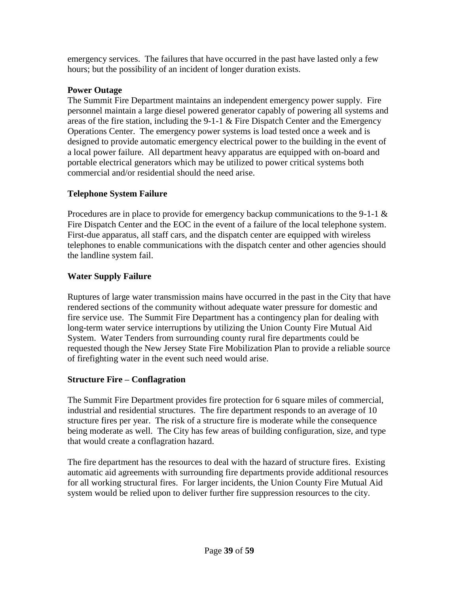emergency services. The failures that have occurred in the past have lasted only a few hours; but the possibility of an incident of longer duration exists.

#### **Power Outage**

The Summit Fire Department maintains an independent emergency power supply. Fire personnel maintain a large diesel powered generator capably of powering all systems and areas of the fire station, including the 9-1-1 & Fire Dispatch Center and the Emergency Operations Center. The emergency power systems is load tested once a week and is designed to provide automatic emergency electrical power to the building in the event of a local power failure. All department heavy apparatus are equipped with on-board and portable electrical generators which may be utilized to power critical systems both commercial and/or residential should the need arise.

#### **Telephone System Failure**

Procedures are in place to provide for emergency backup communications to the 9-1-1 & Fire Dispatch Center and the EOC in the event of a failure of the local telephone system. First-due apparatus, all staff cars, and the dispatch center are equipped with wireless telephones to enable communications with the dispatch center and other agencies should the landline system fail.

#### **Water Supply Failure**

Ruptures of large water transmission mains have occurred in the past in the City that have rendered sections of the community without adequate water pressure for domestic and fire service use. The Summit Fire Department has a contingency plan for dealing with long-term water service interruptions by utilizing the Union County Fire Mutual Aid System. Water Tenders from surrounding county rural fire departments could be requested though the New Jersey State Fire Mobilization Plan to provide a reliable source of firefighting water in the event such need would arise.

#### **Structure Fire – Conflagration**

The Summit Fire Department provides fire protection for 6 square miles of commercial, industrial and residential structures. The fire department responds to an average of 10 structure fires per year. The risk of a structure fire is moderate while the consequence being moderate as well. The City has few areas of building configuration, size, and type that would create a conflagration hazard.

The fire department has the resources to deal with the hazard of structure fires. Existing automatic aid agreements with surrounding fire departments provide additional resources for all working structural fires. For larger incidents, the Union County Fire Mutual Aid system would be relied upon to deliver further fire suppression resources to the city.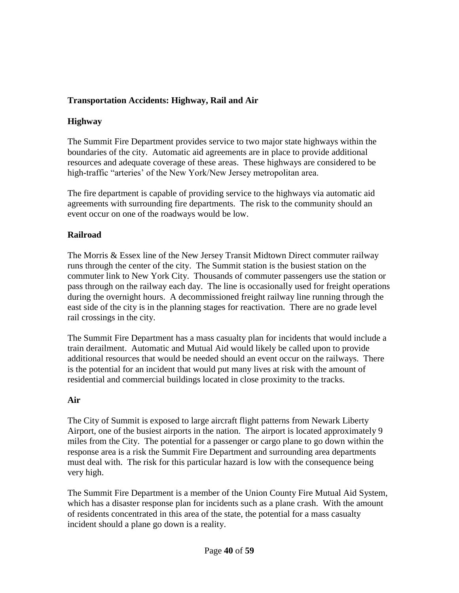#### **Transportation Accidents: Highway, Rail and Air**

#### **Highway**

The Summit Fire Department provides service to two major state highways within the boundaries of the city. Automatic aid agreements are in place to provide additional resources and adequate coverage of these areas. These highways are considered to be high-traffic "arteries' of the New York/New Jersey metropolitan area.

The fire department is capable of providing service to the highways via automatic aid agreements with surrounding fire departments. The risk to the community should an event occur on one of the roadways would be low.

#### **Railroad**

The Morris & Essex line of the New Jersey Transit Midtown Direct commuter railway runs through the center of the city. The Summit station is the busiest station on the commuter link to New York City. Thousands of commuter passengers use the station or pass through on the railway each day. The line is occasionally used for freight operations during the overnight hours. A decommissioned freight railway line running through the east side of the city is in the planning stages for reactivation. There are no grade level rail crossings in the city.

The Summit Fire Department has a mass casualty plan for incidents that would include a train derailment. Automatic and Mutual Aid would likely be called upon to provide additional resources that would be needed should an event occur on the railways. There is the potential for an incident that would put many lives at risk with the amount of residential and commercial buildings located in close proximity to the tracks.

#### **Air**

The City of Summit is exposed to large aircraft flight patterns from Newark Liberty Airport, one of the busiest airports in the nation. The airport is located approximately 9 miles from the City. The potential for a passenger or cargo plane to go down within the response area is a risk the Summit Fire Department and surrounding area departments must deal with. The risk for this particular hazard is low with the consequence being very high.

The Summit Fire Department is a member of the Union County Fire Mutual Aid System, which has a disaster response plan for incidents such as a plane crash. With the amount of residents concentrated in this area of the state, the potential for a mass casualty incident should a plane go down is a reality.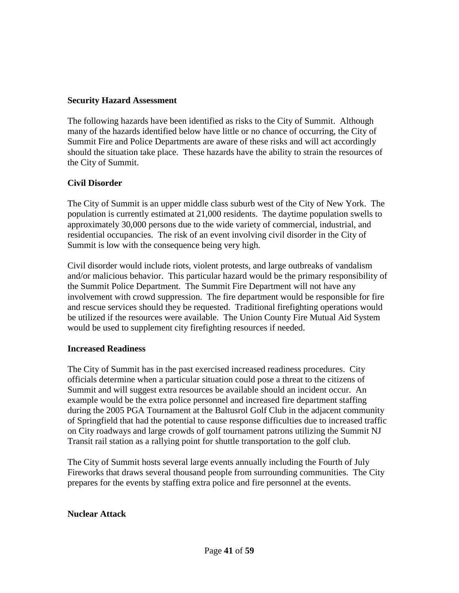#### **Security Hazard Assessment**

The following hazards have been identified as risks to the City of Summit. Although many of the hazards identified below have little or no chance of occurring, the City of Summit Fire and Police Departments are aware of these risks and will act accordingly should the situation take place. These hazards have the ability to strain the resources of the City of Summit.

#### **Civil Disorder**

The City of Summit is an upper middle class suburb west of the City of New York. The population is currently estimated at 21,000 residents. The daytime population swells to approximately 30,000 persons due to the wide variety of commercial, industrial, and residential occupancies. The risk of an event involving civil disorder in the City of Summit is low with the consequence being very high.

Civil disorder would include riots, violent protests, and large outbreaks of vandalism and/or malicious behavior. This particular hazard would be the primary responsibility of the Summit Police Department. The Summit Fire Department will not have any involvement with crowd suppression. The fire department would be responsible for fire and rescue services should they be requested. Traditional firefighting operations would be utilized if the resources were available. The Union County Fire Mutual Aid System would be used to supplement city firefighting resources if needed.

#### **Increased Readiness**

The City of Summit has in the past exercised increased readiness procedures. City officials determine when a particular situation could pose a threat to the citizens of Summit and will suggest extra resources be available should an incident occur. An example would be the extra police personnel and increased fire department staffing during the 2005 PGA Tournament at the Baltusrol Golf Club in the adjacent community of Springfield that had the potential to cause response difficulties due to increased traffic on City roadways and large crowds of golf tournament patrons utilizing the Summit NJ Transit rail station as a rallying point for shuttle transportation to the golf club.

The City of Summit hosts several large events annually including the Fourth of July Fireworks that draws several thousand people from surrounding communities. The City prepares for the events by staffing extra police and fire personnel at the events.

#### **Nuclear Attack**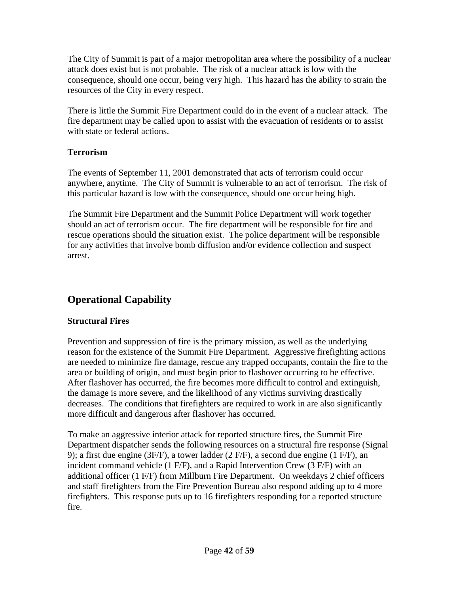The City of Summit is part of a major metropolitan area where the possibility of a nuclear attack does exist but is not probable. The risk of a nuclear attack is low with the consequence, should one occur, being very high. This hazard has the ability to strain the resources of the City in every respect.

There is little the Summit Fire Department could do in the event of a nuclear attack. The fire department may be called upon to assist with the evacuation of residents or to assist with state or federal actions.

#### **Terrorism**

The events of September 11, 2001 demonstrated that acts of terrorism could occur anywhere, anytime. The City of Summit is vulnerable to an act of terrorism. The risk of this particular hazard is low with the consequence, should one occur being high.

The Summit Fire Department and the Summit Police Department will work together should an act of terrorism occur. The fire department will be responsible for fire and rescue operations should the situation exist. The police department will be responsible for any activities that involve bomb diffusion and/or evidence collection and suspect arrest.

## **Operational Capability**

#### **Structural Fires**

Prevention and suppression of fire is the primary mission, as well as the underlying reason for the existence of the Summit Fire Department. Aggressive firefighting actions are needed to minimize fire damage, rescue any trapped occupants, contain the fire to the area or building of origin, and must begin prior to flashover occurring to be effective. After flashover has occurred, the fire becomes more difficult to control and extinguish, the damage is more severe, and the likelihood of any victims surviving drastically decreases. The conditions that firefighters are required to work in are also significantly more difficult and dangerous after flashover has occurred.

To make an aggressive interior attack for reported structure fires, the Summit Fire Department dispatcher sends the following resources on a structural fire response (Signal 9); a first due engine (3F/F), a tower ladder (2 F/F), a second due engine (1 F/F), an incident command vehicle (1 F/F), and a Rapid Intervention Crew (3 F/F) with an additional officer (1 F/F) from Millburn Fire Department. On weekdays 2 chief officers and staff firefighters from the Fire Prevention Bureau also respond adding up to 4 more firefighters. This response puts up to 16 firefighters responding for a reported structure fire.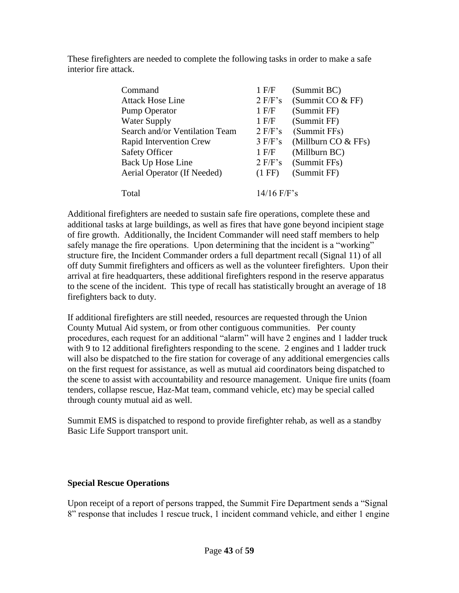These firefighters are needed to complete the following tasks in order to make a safe interior fire attack.

| Command                        | $1$ F/F       | (Summit BC)            |
|--------------------------------|---------------|------------------------|
| <b>Attack Hose Line</b>        | $2$ F/F's     | (Summit CO & FF)       |
| Pump Operator                  | $1$ F/F       | (Summit FF)            |
| <b>Water Supply</b>            | $1$ F/F       | (Summit FF)            |
| Search and/or Ventilation Team | $2$ F/F's     | (Summit FFs)           |
| Rapid Intervention Crew        | $3$ F/F's     | (Millburn $CO & FFs$ ) |
| <b>Safety Officer</b>          | $1$ F/F       | (Millburn BC)          |
| Back Up Hose Line              | $2$ F/F's     | (Summit FFs)           |
| Aerial Operator (If Needed)    | $(1$ FF)      | (Summit FF)            |
|                                |               |                        |
| Total                          | $14/16$ F/F's |                        |

Additional firefighters are needed to sustain safe fire operations, complete these and additional tasks at large buildings, as well as fires that have gone beyond incipient stage of fire growth. Additionally, the Incident Commander will need staff members to help safely manage the fire operations. Upon determining that the incident is a "working" structure fire, the Incident Commander orders a full department recall (Signal 11) of all off duty Summit firefighters and officers as well as the volunteer firefighters. Upon their arrival at fire headquarters, these additional firefighters respond in the reserve apparatus to the scene of the incident. This type of recall has statistically brought an average of 18 firefighters back to duty.

If additional firefighters are still needed, resources are requested through the Union County Mutual Aid system, or from other contiguous communities. Per county procedures, each request for an additional "alarm" will have 2 engines and 1 ladder truck with 9 to 12 additional firefighters responding to the scene. 2 engines and 1 ladder truck will also be dispatched to the fire station for coverage of any additional emergencies calls on the first request for assistance, as well as mutual aid coordinators being dispatched to the scene to assist with accountability and resource management. Unique fire units (foam tenders, collapse rescue, Haz-Mat team, command vehicle, etc) may be special called through county mutual aid as well.

Summit EMS is dispatched to respond to provide firefighter rehab, as well as a standby Basic Life Support transport unit.

#### **Special Rescue Operations**

Upon receipt of a report of persons trapped, the Summit Fire Department sends a "Signal" 8" response that includes 1 rescue truck, 1 incident command vehicle, and either 1 engine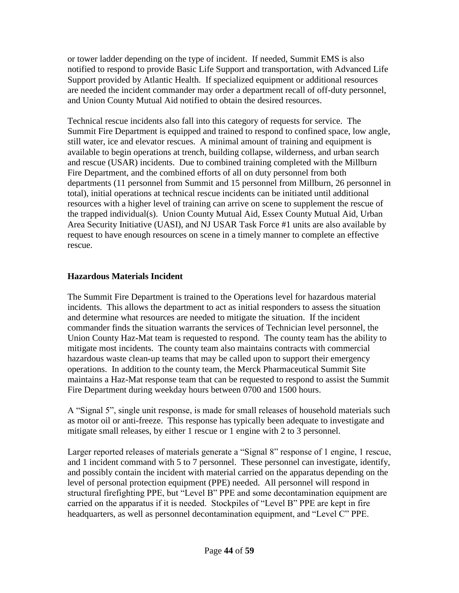or tower ladder depending on the type of incident. If needed, Summit EMS is also notified to respond to provide Basic Life Support and transportation, with Advanced Life Support provided by Atlantic Health. If specialized equipment or additional resources are needed the incident commander may order a department recall of off-duty personnel, and Union County Mutual Aid notified to obtain the desired resources.

Technical rescue incidents also fall into this category of requests for service. The Summit Fire Department is equipped and trained to respond to confined space, low angle, still water, ice and elevator rescues. A minimal amount of training and equipment is available to begin operations at trench, building collapse, wilderness, and urban search and rescue (USAR) incidents. Due to combined training completed with the Millburn Fire Department, and the combined efforts of all on duty personnel from both departments (11 personnel from Summit and 15 personnel from Millburn, 26 personnel in total), initial operations at technical rescue incidents can be initiated until additional resources with a higher level of training can arrive on scene to supplement the rescue of the trapped individual(s). Union County Mutual Aid, Essex County Mutual Aid, Urban Area Security Initiative (UASI), and NJ USAR Task Force #1 units are also available by request to have enough resources on scene in a timely manner to complete an effective rescue.

#### **Hazardous Materials Incident**

The Summit Fire Department is trained to the Operations level for hazardous material incidents. This allows the department to act as initial responders to assess the situation and determine what resources are needed to mitigate the situation. If the incident commander finds the situation warrants the services of Technician level personnel, the Union County Haz-Mat team is requested to respond. The county team has the ability to mitigate most incidents. The county team also maintains contracts with commercial hazardous waste clean-up teams that may be called upon to support their emergency operations. In addition to the county team, the Merck Pharmaceutical Summit Site maintains a Haz-Mat response team that can be requested to respond to assist the Summit Fire Department during weekday hours between 0700 and 1500 hours.

A "Signal 5", single unit response, is made for small releases of household materials such as motor oil or anti-freeze. This response has typically been adequate to investigate and mitigate small releases, by either 1 rescue or 1 engine with 2 to 3 personnel.

Larger reported releases of materials generate a "Signal 8" response of 1 engine, 1 rescue, and 1 incident command with 5 to 7 personnel. These personnel can investigate, identify, and possibly contain the incident with material carried on the apparatus depending on the level of personal protection equipment (PPE) needed. All personnel will respond in structural firefighting PPE, but "Level B" PPE and some decontamination equipment are carried on the apparatus if it is needed. Stockpiles of "Level B" PPE are kept in fire headquarters, as well as personnel decontamination equipment, and "Level C" PPE.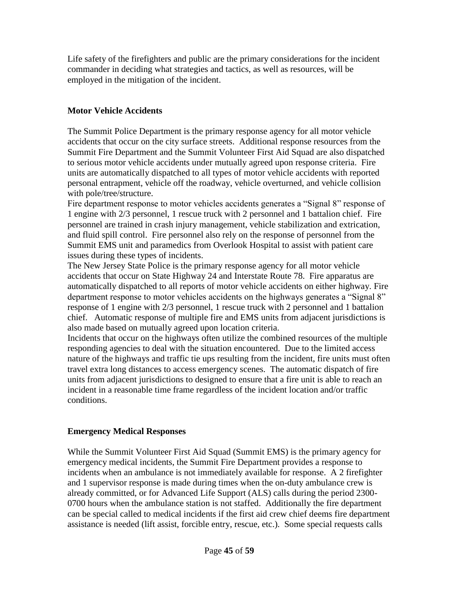Life safety of the firefighters and public are the primary considerations for the incident commander in deciding what strategies and tactics, as well as resources, will be employed in the mitigation of the incident.

#### **Motor Vehicle Accidents**

The Summit Police Department is the primary response agency for all motor vehicle accidents that occur on the city surface streets. Additional response resources from the Summit Fire Department and the Summit Volunteer First Aid Squad are also dispatched to serious motor vehicle accidents under mutually agreed upon response criteria. Fire units are automatically dispatched to all types of motor vehicle accidents with reported personal entrapment, vehicle off the roadway, vehicle overturned, and vehicle collision with pole/tree/structure.

Fire department response to motor vehicles accidents generates a "Signal 8" response of 1 engine with 2/3 personnel, 1 rescue truck with 2 personnel and 1 battalion chief. Fire personnel are trained in crash injury management, vehicle stabilization and extrication, and fluid spill control. Fire personnel also rely on the response of personnel from the Summit EMS unit and paramedics from Overlook Hospital to assist with patient care issues during these types of incidents.

The New Jersey State Police is the primary response agency for all motor vehicle accidents that occur on State Highway 24 and Interstate Route 78. Fire apparatus are automatically dispatched to all reports of motor vehicle accidents on either highway. Fire department response to motor vehicles accidents on the highways generates a "Signal 8" response of 1 engine with 2/3 personnel, 1 rescue truck with 2 personnel and 1 battalion chief. Automatic response of multiple fire and EMS units from adjacent jurisdictions is also made based on mutually agreed upon location criteria.

Incidents that occur on the highways often utilize the combined resources of the multiple responding agencies to deal with the situation encountered. Due to the limited access nature of the highways and traffic tie ups resulting from the incident, fire units must often travel extra long distances to access emergency scenes. The automatic dispatch of fire units from adjacent jurisdictions to designed to ensure that a fire unit is able to reach an incident in a reasonable time frame regardless of the incident location and/or traffic conditions.

#### **Emergency Medical Responses**

While the Summit Volunteer First Aid Squad (Summit EMS) is the primary agency for emergency medical incidents, the Summit Fire Department provides a response to incidents when an ambulance is not immediately available for response. A 2 firefighter and 1 supervisor response is made during times when the on-duty ambulance crew is already committed, or for Advanced Life Support (ALS) calls during the period 2300- 0700 hours when the ambulance station is not staffed. Additionally the fire department can be special called to medical incidents if the first aid crew chief deems fire department assistance is needed (lift assist, forcible entry, rescue, etc.). Some special requests calls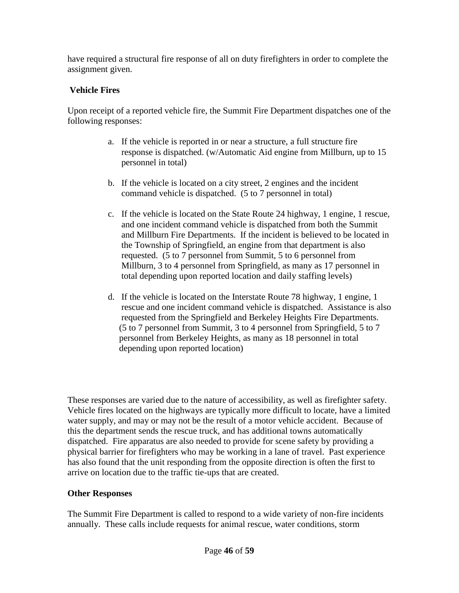have required a structural fire response of all on duty firefighters in order to complete the assignment given.

#### **Vehicle Fires**

Upon receipt of a reported vehicle fire, the Summit Fire Department dispatches one of the following responses:

- a. If the vehicle is reported in or near a structure, a full structure fire response is dispatched. (w/Automatic Aid engine from Millburn, up to 15 personnel in total)
- b. If the vehicle is located on a city street, 2 engines and the incident command vehicle is dispatched. (5 to 7 personnel in total)
- c. If the vehicle is located on the State Route 24 highway, 1 engine, 1 rescue, and one incident command vehicle is dispatched from both the Summit and Millburn Fire Departments. If the incident is believed to be located in the Township of Springfield, an engine from that department is also requested. (5 to 7 personnel from Summit, 5 to 6 personnel from Millburn, 3 to 4 personnel from Springfield, as many as 17 personnel in total depending upon reported location and daily staffing levels)
- d. If the vehicle is located on the Interstate Route 78 highway, 1 engine, 1 rescue and one incident command vehicle is dispatched. Assistance is also requested from the Springfield and Berkeley Heights Fire Departments. (5 to 7 personnel from Summit, 3 to 4 personnel from Springfield, 5 to 7 personnel from Berkeley Heights, as many as 18 personnel in total depending upon reported location)

These responses are varied due to the nature of accessibility, as well as firefighter safety. Vehicle fires located on the highways are typically more difficult to locate, have a limited water supply, and may or may not be the result of a motor vehicle accident. Because of this the department sends the rescue truck, and has additional towns automatically dispatched. Fire apparatus are also needed to provide for scene safety by providing a physical barrier for firefighters who may be working in a lane of travel. Past experience has also found that the unit responding from the opposite direction is often the first to arrive on location due to the traffic tie-ups that are created.

#### **Other Responses**

The Summit Fire Department is called to respond to a wide variety of non-fire incidents annually. These calls include requests for animal rescue, water conditions, storm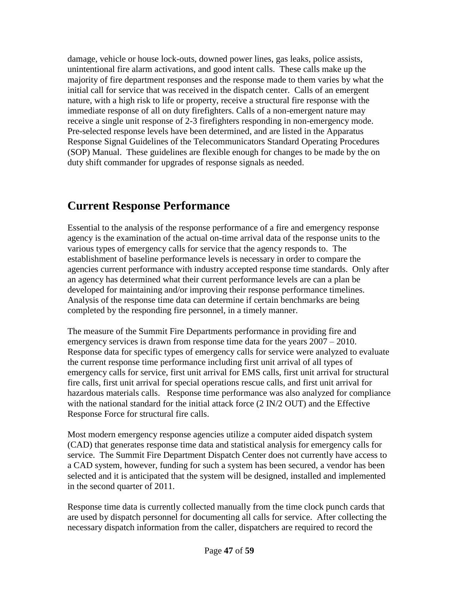damage, vehicle or house lock-outs, downed power lines, gas leaks, police assists, unintentional fire alarm activations, and good intent calls. These calls make up the majority of fire department responses and the response made to them varies by what the initial call for service that was received in the dispatch center. Calls of an emergent nature, with a high risk to life or property, receive a structural fire response with the immediate response of all on duty firefighters. Calls of a non-emergent nature may receive a single unit response of 2-3 firefighters responding in non-emergency mode. Pre-selected response levels have been determined, and are listed in the Apparatus Response Signal Guidelines of the Telecommunicators Standard Operating Procedures (SOP) Manual. These guidelines are flexible enough for changes to be made by the on duty shift commander for upgrades of response signals as needed.

## **Current Response Performance**

Essential to the analysis of the response performance of a fire and emergency response agency is the examination of the actual on-time arrival data of the response units to the various types of emergency calls for service that the agency responds to. The establishment of baseline performance levels is necessary in order to compare the agencies current performance with industry accepted response time standards. Only after an agency has determined what their current performance levels are can a plan be developed for maintaining and/or improving their response performance timelines. Analysis of the response time data can determine if certain benchmarks are being completed by the responding fire personnel, in a timely manner.

The measure of the Summit Fire Departments performance in providing fire and emergency services is drawn from response time data for the years  $2007 - 2010$ . Response data for specific types of emergency calls for service were analyzed to evaluate the current response time performance including first unit arrival of all types of emergency calls for service, first unit arrival for EMS calls, first unit arrival for structural fire calls, first unit arrival for special operations rescue calls, and first unit arrival for hazardous materials calls. Response time performance was also analyzed for compliance with the national standard for the initial attack force (2 IN/2 OUT) and the Effective Response Force for structural fire calls.

Most modern emergency response agencies utilize a computer aided dispatch system (CAD) that generates response time data and statistical analysis for emergency calls for service. The Summit Fire Department Dispatch Center does not currently have access to a CAD system, however, funding for such a system has been secured, a vendor has been selected and it is anticipated that the system will be designed, installed and implemented in the second quarter of 2011.

Response time data is currently collected manually from the time clock punch cards that are used by dispatch personnel for documenting all calls for service. After collecting the necessary dispatch information from the caller, dispatchers are required to record the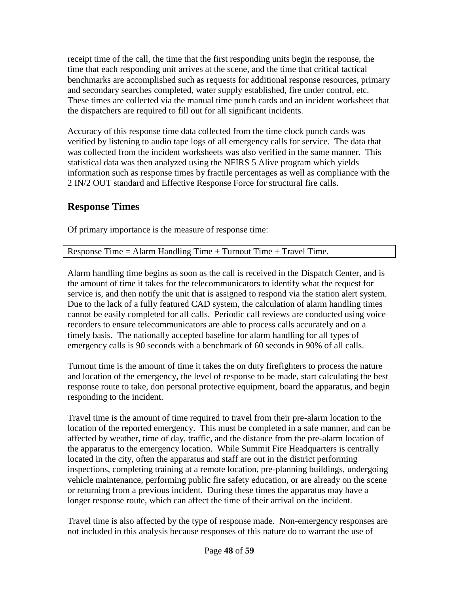receipt time of the call, the time that the first responding units begin the response, the time that each responding unit arrives at the scene, and the time that critical tactical benchmarks are accomplished such as requests for additional response resources, primary and secondary searches completed, water supply established, fire under control, etc. These times are collected via the manual time punch cards and an incident worksheet that the dispatchers are required to fill out for all significant incidents.

Accuracy of this response time data collected from the time clock punch cards was verified by listening to audio tape logs of all emergency calls for service. The data that was collected from the incident worksheets was also verified in the same manner. This statistical data was then analyzed using the NFIRS 5 Alive program which yields information such as response times by fractile percentages as well as compliance with the 2 IN/2 OUT standard and Effective Response Force for structural fire calls.

#### **Response Times**

Of primary importance is the measure of response time:

| Response Time = Alarm Handling Time $+$ Turnout Time $+$ Travel Time. |  |  |  |
|-----------------------------------------------------------------------|--|--|--|
|                                                                       |  |  |  |

Alarm handling time begins as soon as the call is received in the Dispatch Center, and is the amount of time it takes for the telecommunicators to identify what the request for service is, and then notify the unit that is assigned to respond via the station alert system. Due to the lack of a fully featured CAD system, the calculation of alarm handling times cannot be easily completed for all calls. Periodic call reviews are conducted using voice recorders to ensure telecommunicators are able to process calls accurately and on a timely basis. The nationally accepted baseline for alarm handling for all types of emergency calls is 90 seconds with a benchmark of 60 seconds in 90% of all calls.

Turnout time is the amount of time it takes the on duty firefighters to process the nature and location of the emergency, the level of response to be made, start calculating the best response route to take, don personal protective equipment, board the apparatus, and begin responding to the incident.

Travel time is the amount of time required to travel from their pre-alarm location to the location of the reported emergency. This must be completed in a safe manner, and can be affected by weather, time of day, traffic, and the distance from the pre-alarm location of the apparatus to the emergency location. While Summit Fire Headquarters is centrally located in the city, often the apparatus and staff are out in the district performing inspections, completing training at a remote location, pre-planning buildings, undergoing vehicle maintenance, performing public fire safety education, or are already on the scene or returning from a previous incident. During these times the apparatus may have a longer response route, which can affect the time of their arrival on the incident.

Travel time is also affected by the type of response made. Non-emergency responses are not included in this analysis because responses of this nature do to warrant the use of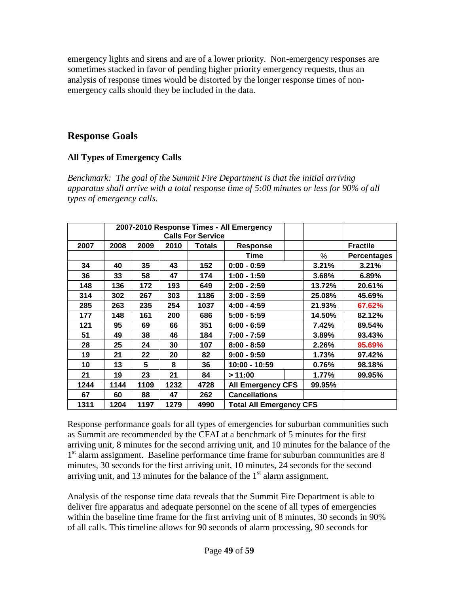emergency lights and sirens and are of a lower priority. Non-emergency responses are sometimes stacked in favor of pending higher priority emergency requests, thus an analysis of response times would be distorted by the longer response times of nonemergency calls should they be included in the data.

#### **Response Goals**

#### **All Types of Emergency Calls**

*Benchmark: The goal of the Summit Fire Department is that the initial arriving apparatus shall arrive with a total response time of 5:00 minutes or less for 90% of all types of emergency calls.*

|      |      | 2007-2010 Response Times - All Emergency |      |               |                                |        |                    |
|------|------|------------------------------------------|------|---------------|--------------------------------|--------|--------------------|
|      |      |                                          |      |               |                                |        |                    |
| 2007 | 2008 | 2009                                     | 2010 | <b>Totals</b> | Response                       |        | <b>Fractile</b>    |
|      |      |                                          |      |               | Time                           | %      | <b>Percentages</b> |
| 34   | 40   | 35                                       | 43   | 152           | $0:00 - 0:59$                  | 3.21%  | 3.21%              |
| 36   | 33   | 58                                       | 47   | 174           | $1:00 - 1:59$                  | 3.68%  | 6.89%              |
| 148  | 136  | 172                                      | 193  | 649           | $2:00 - 2:59$                  | 13.72% | 20.61%             |
| 314  | 302  | 267                                      | 303  | 1186          | $3:00 - 3:59$                  | 25.08% | 45.69%             |
| 285  | 263  | 235                                      | 254  | 1037          | $4:00 - 4:59$                  | 21.93% | 67.62%             |
| 177  | 148  | 161                                      | 200  | 686           | $5:00 - 5:59$                  | 14.50% | 82.12%             |
| 121  | 95   | 69                                       | 66   | 351           | $6:00 - 6:59$                  | 7.42%  | 89.54%             |
| 51   | 49   | 38                                       | 46   | 184           | 7:00 - 7:59                    | 3.89%  | 93.43%             |
| 28   | 25   | 24                                       | 30   | 107           | $8:00 - 8:59$                  | 2.26%  | 95.69%             |
| 19   | 21   | 22                                       | 20   | 82            | $9:00 - 9:59$                  | 1.73%  | 97.42%             |
| 10   | 13   | 5                                        | 8    | 36            | 10:00 - 10:59                  | 0.76%  | 98.18%             |
| 21   | 19   | 23                                       | 21   | 84            | >11:00                         | 1.77%  | 99.95%             |
| 1244 | 1144 | 1109                                     | 1232 | 4728          | <b>All Emergency CFS</b>       | 99.95% |                    |
| 67   | 60   | 88                                       | 47   | 262           | <b>Cancellations</b>           |        |                    |
| 1311 | 1204 | 1197                                     | 1279 | 4990          | <b>Total All Emergency CFS</b> |        |                    |

Response performance goals for all types of emergencies for suburban communities such as Summit are recommended by the CFAI at a benchmark of 5 minutes for the first arriving unit, 8 minutes for the second arriving unit, and 10 minutes for the balance of the 1<sup>st</sup> alarm assignment. Baseline performance time frame for suburban communities are 8 minutes, 30 seconds for the first arriving unit, 10 minutes, 24 seconds for the second arriving unit, and 13 minutes for the balance of the  $1<sup>st</sup>$  alarm assignment.

Analysis of the response time data reveals that the Summit Fire Department is able to deliver fire apparatus and adequate personnel on the scene of all types of emergencies within the baseline time frame for the first arriving unit of 8 minutes, 30 seconds in 90% of all calls. This timeline allows for 90 seconds of alarm processing, 90 seconds for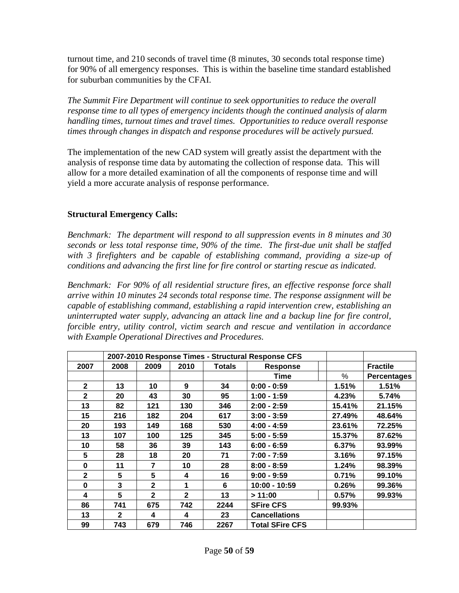turnout time, and 210 seconds of travel time (8 minutes, 30 seconds total response time) for 90% of all emergency responses. This is within the baseline time standard established for suburban communities by the CFAI.

*The Summit Fire Department will continue to seek opportunities to reduce the overall response time to all types of emergency incidents though the continued analysis of alarm handling times, turnout times and travel times. Opportunities to reduce overall response times through changes in dispatch and response procedures will be actively pursued.* 

The implementation of the new CAD system will greatly assist the department with the analysis of response time data by automating the collection of response data. This will allow for a more detailed examination of all the components of response time and will yield a more accurate analysis of response performance.

#### **Structural Emergency Calls:**

*Benchmark: The department will respond to all suppression events in 8 minutes and 30 seconds or less total response time, 90% of the time. The first-due unit shall be staffed*  with 3 firefighters and be capable of establishing command, providing a size-up of *conditions and advancing the first line for fire control or starting rescue as indicated.*

*Benchmark: For 90% of all residential structure fires, an effective response force shall arrive within 10 minutes 24 seconds total response time. The response assignment will be capable of establishing command, establishing a rapid intervention crew, establishing an uninterrupted water supply, advancing an attack line and a backup line for fire control, forcible entry, utility control, victim search and rescue and ventilation in accordance with Example Operational Directives and Procedures.*

|                | 2007-2010 Response Times - Structural Response CFS |                |              |        |                        |        |                    |
|----------------|----------------------------------------------------|----------------|--------------|--------|------------------------|--------|--------------------|
| 2007           | 2008                                               | 2009           | 2010         | Totals | <b>Response</b>        |        | <b>Fractile</b>    |
|                |                                                    |                |              |        | Time                   | %      | <b>Percentages</b> |
| $\mathbf{2}$   | 13                                                 | 10             | 9            | 34     | $0:00 - 0:59$          | 1.51%  | 1.51%              |
| $\overline{2}$ | 20                                                 | 43             | 30           | 95     | $1:00 - 1:59$          | 4.23%  | 5.74%              |
| 13             | 82                                                 | 121            | 130          | 346    | $2:00 - 2:59$          | 15.41% | 21.15%             |
| 15             | 216                                                | 182            | 204          | 617    | $3:00 - 3:59$          | 27.49% | 48.64%             |
| 20             | 193                                                | 149            | 168          | 530    | $4:00 - 4:59$          | 23.61% | 72.25%             |
| 13             | 107                                                | 100            | 125          | 345    | $5:00 - 5:59$          | 15.37% | 87.62%             |
| 10             | 58                                                 | 36             | 39           | 143    | $6:00 - 6:59$          | 6.37%  | 93.99%             |
| 5              | 28                                                 | 18             | 20           | 71     | $7:00 - 7:59$          | 3.16%  | 97.15%             |
| $\bf{0}$       | 11                                                 | 7              | 10           | 28     | $8:00 - 8:59$          | 1.24%  | 98.39%             |
| $\mathbf{2}$   | 5                                                  | 5              | 4            | 16     | $9:00 - 9:59$          | 0.71%  | 99.10%             |
| $\bf{0}$       | 3                                                  | $\overline{2}$ | 1            | 6      | 10:00 - 10:59          | 0.26%  | 99.36%             |
| 4              | 5                                                  | $\overline{2}$ | $\mathbf{2}$ | 13     | >11:00                 | 0.57%  | 99.93%             |
| 86             | 741                                                | 675            | 742          | 2244   | <b>SFire CFS</b>       | 99.93% |                    |
| 13             | $\mathbf{2}$                                       | 4              | 4            | 23     | <b>Cancellations</b>   |        |                    |
| 99             | 743                                                | 679            | 746          | 2267   | <b>Total SFire CFS</b> |        |                    |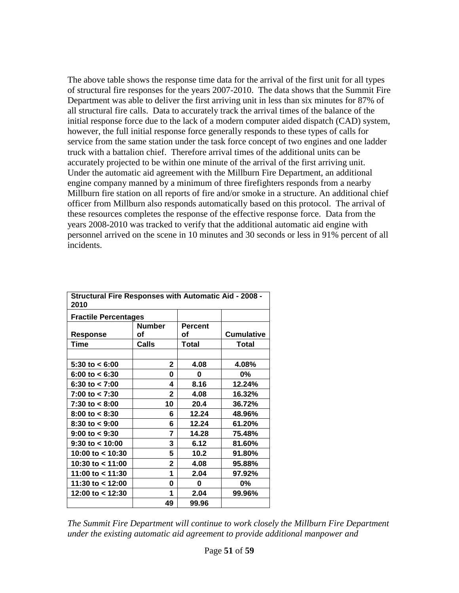The above table shows the response time data for the arrival of the first unit for all types of structural fire responses for the years 2007-2010. The data shows that the Summit Fire Department was able to deliver the first arriving unit in less than six minutes for 87% of all structural fire calls. Data to accurately track the arrival times of the balance of the initial response force due to the lack of a modern computer aided dispatch (CAD) system, however, the full initial response force generally responds to these types of calls for service from the same station under the task force concept of two engines and one ladder truck with a battalion chief. Therefore arrival times of the additional units can be accurately projected to be within one minute of the arrival of the first arriving unit. Under the automatic aid agreement with the Millburn Fire Department, an additional engine company manned by a minimum of three firefighters responds from a nearby Millburn fire station on all reports of fire and/or smoke in a structure. An additional chief officer from Millburn also responds automatically based on this protocol. The arrival of these resources completes the response of the effective response force. Data from the years 2008-2010 was tracked to verify that the additional automatic aid engine with personnel arrived on the scene in 10 minutes and 30 seconds or less in 91% percent of all incidents.

| 2010                        |               |                |                   |  |  |  |  |  |  |  |
|-----------------------------|---------------|----------------|-------------------|--|--|--|--|--|--|--|
| <b>Fractile Percentages</b> |               |                |                   |  |  |  |  |  |  |  |
|                             | <b>Number</b> | <b>Percent</b> |                   |  |  |  |  |  |  |  |
| Response                    | οf            | οf             | <b>Cumulative</b> |  |  |  |  |  |  |  |
| Time                        | Calls         | <b>Total</b>   | Total             |  |  |  |  |  |  |  |
|                             |               |                |                   |  |  |  |  |  |  |  |
| 5:30 to $< 6:00$            | 2             | 4.08           | 4.08%             |  |  |  |  |  |  |  |
| 6:00 to $< 6:30$            | 0             | 0              | $0\%$             |  |  |  |  |  |  |  |
| 6:30 to $<$ 7:00            | 4             | 8.16           | 12.24%            |  |  |  |  |  |  |  |
| 7:00 to < 7:30              | 2             | 4.08           | 16.32%            |  |  |  |  |  |  |  |
| $7:30$ to $< 8:00$          | 10            | 20.4           | 36.72%            |  |  |  |  |  |  |  |
| $8:00$ to $< 8:30$          | 6             | 12.24          | 48.96%            |  |  |  |  |  |  |  |
| $8:30$ to $< 9:00$          | 6             | 12.24          | 61.20%            |  |  |  |  |  |  |  |
| $9:00$ to $< 9:30$          | 7             | 14.28          | 75.48%            |  |  |  |  |  |  |  |
| $9:30$ to $< 10:00$         | 3             | 6.12           | 81.60%            |  |  |  |  |  |  |  |
| 10:00 to $<$ 10:30          | 5             | 10.2           | 91.80%            |  |  |  |  |  |  |  |
| 10:30 to < 11:00            | 2             | 4.08           | 95.88%            |  |  |  |  |  |  |  |
| 11:00 to < 11:30            | 1             | 2.04           | 97.92%            |  |  |  |  |  |  |  |
| 11:30 to < 12:00            | 0             | 0              | $0\%$             |  |  |  |  |  |  |  |
| 12:00 to < 12:30            | 1             | 2.04           | 99.96%            |  |  |  |  |  |  |  |
|                             | 49            | 99.96          |                   |  |  |  |  |  |  |  |

| Structural Fire Responses with Automatic Aid - 2008 -<br>2010 |  |
|---------------------------------------------------------------|--|
|                                                               |  |

*The Summit Fire Department will continue to work closely the Millburn Fire Department under the existing automatic aid agreement to provide additional manpower and*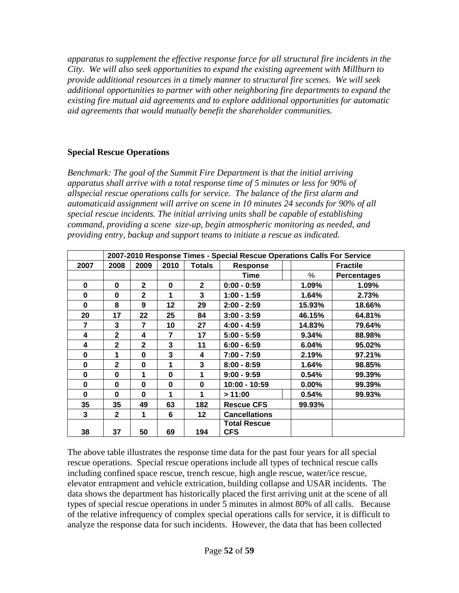*apparatus to supplement the effective response force for all structural fire incidents in the City. We will also seek opportunities to expand the existing agreement with Millburn to provide additional resources in a timely manner to structural fire scenes. We will seek additional opportunities to partner with other neighboring fire departments to expand the existing fire mutual aid agreements and to explore additional opportunities for automatic aid agreements that would mutually benefit the shareholder communities.*

#### **Special Rescue Operations**

*Benchmark: The goal of the Summit Fire Department is that the initial arriving apparatus shall arrive with a total response time of 5 minutes or less for 90% of allspecial rescue operations calls for service. The balance of the first alarm and automaticaid assignment will arrive on scene in 10 minutes 24 seconds for 90% of all special rescue incidents. The initial arriving units shall be capable of establishing command, providing a scene size-up, begin atmospheric monitoring as needed, and providing entry, backup and support teams to initiate a rescue as indicated.* 

|                | 2007-2010 Response Times - Special Rescue Operations Calls For Service |                |          |               |                                   |          |                    |  |  |  |  |  |
|----------------|------------------------------------------------------------------------|----------------|----------|---------------|-----------------------------------|----------|--------------------|--|--|--|--|--|
| 2007           | 2008                                                                   | 2009           | 2010     | <b>Totals</b> | Response                          |          | <b>Fractile</b>    |  |  |  |  |  |
|                |                                                                        |                |          |               | Time                              | $\%$     | <b>Percentages</b> |  |  |  |  |  |
| 0              | $\bf{0}$                                                               | $\mathbf{2}$   | $\bf{0}$ | $\mathbf{2}$  | $0:00 - 0:59$                     | 1.09%    | $1.09\%$           |  |  |  |  |  |
| 0              | 0                                                                      | $\overline{2}$ | 1        | 3             | $1:00 - 1:59$                     | 1.64%    | 2.73%              |  |  |  |  |  |
| 0              | 8                                                                      | 9              | $12 \,$  | 29            | $2:00 - 2:59$                     | 15.93%   | 18.66%             |  |  |  |  |  |
| 20             | 17                                                                     | 22             | 25       | 84            | $3:00 - 3:59$                     | 46.15%   | 64.81%             |  |  |  |  |  |
| $\overline{7}$ | 3                                                                      | 7              | 10       | 27            | $4:00 - 4:59$                     | 14.83%   | 79.64%             |  |  |  |  |  |
| 4              | $\mathbf{2}$                                                           | 4              | 7        | 17            | $5:00 - 5:59$                     | 9.34%    | 88.98%             |  |  |  |  |  |
| 4              | $\mathbf{2}$                                                           | $\mathbf{2}$   | 3        | 11            | $6:00 - 6:59$                     | 6.04%    | 95.02%             |  |  |  |  |  |
| 0              | 1                                                                      | $\bf{0}$       | 3        | 4             | $7:00 - 7:59$                     | 2.19%    | 97.21%             |  |  |  |  |  |
| 0              | $\mathbf{2}$                                                           | $\bf{0}$       | 1        | 3             | $8:00 - 8:59$                     | 1.64%    | 98.85%             |  |  |  |  |  |
| 0              | 0                                                                      | 1              | $\bf{0}$ | 1             | $9:00 - 9:59$                     | 0.54%    | 99.39%             |  |  |  |  |  |
| 0              | $\bf{0}$                                                               | 0              | $\bf{0}$ | $\bf{0}$      | 10:00 - 10:59                     | $0.00\%$ | 99.39%             |  |  |  |  |  |
| 0              | $\bf{0}$                                                               | $\bf{0}$       |          | 1             | >11:00                            | 0.54%    | 99.93%             |  |  |  |  |  |
| 35             | 35                                                                     | 49             | 63       | 182           | <b>Rescue CFS</b>                 | 99.93%   |                    |  |  |  |  |  |
| $\mathbf{3}$   | $\mathbf{2}$                                                           | 1              | 6        | 12            | <b>Cancellations</b>              |          |                    |  |  |  |  |  |
| 38             | 37                                                                     | 50             | 69       | 194           | <b>Total Rescue</b><br><b>CFS</b> |          |                    |  |  |  |  |  |

The above table illustrates the response time data for the past four years for all special rescue operations. Special rescue operations include all types of technical rescue calls including confined space rescue, trench rescue, high angle rescue, water/ice rescue, elevator entrapment and vehicle extrication, building collapse and USAR incidents. The data shows the department has historically placed the first arriving unit at the scene of all types of special rescue operations in under 5 minutes in almost 80% of all calls. Because of the relative infrequency of complex special operations calls for service, it is difficult to analyze the response data for such incidents. However, the data that has been collected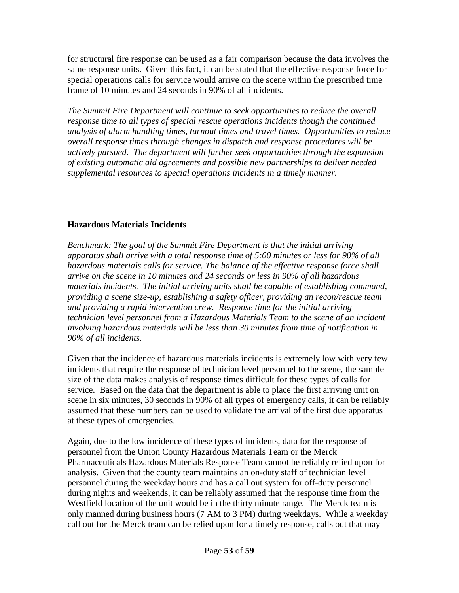for structural fire response can be used as a fair comparison because the data involves the same response units. Given this fact, it can be stated that the effective response force for special operations calls for service would arrive on the scene within the prescribed time frame of 10 minutes and 24 seconds in 90% of all incidents.

*The Summit Fire Department will continue to seek opportunities to reduce the overall response time to all types of special rescue operations incidents though the continued analysis of alarm handling times, turnout times and travel times. Opportunities to reduce overall response times through changes in dispatch and response procedures will be actively pursued. The department will further seek opportunities through the expansion of existing automatic aid agreements and possible new partnerships to deliver needed supplemental resources to special operations incidents in a timely manner.*

#### **Hazardous Materials Incidents**

*Benchmark: The goal of the Summit Fire Department is that the initial arriving apparatus shall arrive with a total response time of 5:00 minutes or less for 90% of all hazardous materials calls for service. The balance of the effective response force shall arrive on the scene in 10 minutes and 24 seconds or less in 90% of all hazardous materials incidents. The initial arriving units shall be capable of establishing command, providing a scene size-up, establishing a safety officer, providing an recon/rescue team and providing a rapid intervention crew. Response time for the initial arriving technician level personnel from a Hazardous Materials Team to the scene of an incident involving hazardous materials will be less than 30 minutes from time of notification in 90% of all incidents.*

Given that the incidence of hazardous materials incidents is extremely low with very few incidents that require the response of technician level personnel to the scene, the sample size of the data makes analysis of response times difficult for these types of calls for service. Based on the data that the department is able to place the first arriving unit on scene in six minutes, 30 seconds in 90% of all types of emergency calls, it can be reliably assumed that these numbers can be used to validate the arrival of the first due apparatus at these types of emergencies.

Again, due to the low incidence of these types of incidents, data for the response of personnel from the Union County Hazardous Materials Team or the Merck Pharmaceuticals Hazardous Materials Response Team cannot be reliably relied upon for analysis. Given that the county team maintains an on-duty staff of technician level personnel during the weekday hours and has a call out system for off-duty personnel during nights and weekends, it can be reliably assumed that the response time from the Westfield location of the unit would be in the thirty minute range. The Merck team is only manned during business hours (7 AM to 3 PM) during weekdays. While a weekday call out for the Merck team can be relied upon for a timely response, calls out that may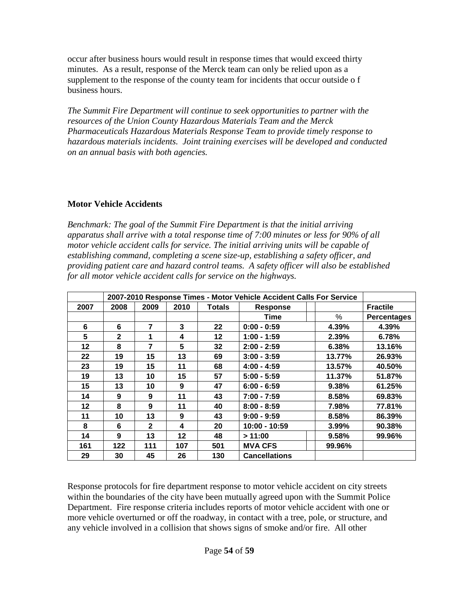occur after business hours would result in response times that would exceed thirty minutes. As a result, response of the Merck team can only be relied upon as a supplement to the response of the county team for incidents that occur outside o f business hours.

*The Summit Fire Department will continue to seek opportunities to partner with the resources of the Union County Hazardous Materials Team and the Merck Pharmaceuticals Hazardous Materials Response Team to provide timely response to hazardous materials incidents. Joint training exercises will be developed and conducted on an annual basis with both agencies.*

#### **Motor Vehicle Accidents**

*Benchmark: The goal of the Summit Fire Department is that the initial arriving apparatus shall arrive with a total response time of 7:00 minutes or less for 90% of all motor vehicle accident calls for service. The initial arriving units will be capable of establishing command, completing a scene size-up, establishing a safety officer, and providing patient care and hazard control teams. A safety officer will also be established for all motor vehicle accident calls for service on the highways.* 

| 2007 | 2008         | 2009           | 2010    | <b>Totals</b> | <b>Response</b>      |        | <b>Fractile</b>    |
|------|--------------|----------------|---------|---------------|----------------------|--------|--------------------|
|      |              |                |         |               | Time                 | ℅      | <b>Percentages</b> |
| 6    | 6            | $\overline{7}$ | 3       | 22            | $0:00 - 0:59$        | 4.39%  | 4.39%              |
| 5    | $\mathbf{2}$ | 1              | 4       | 12            | $1:00 - 1:59$        | 2.39%  | 6.78%              |
| 12   | 8            | $\overline{7}$ | 5       | 32            | $2:00 - 2:59$        | 6.38%  | 13.16%             |
| 22   | 19           | 15             | 13      | 69            | $3:00 - 3:59$        | 13.77% | 26.93%             |
| 23   | 19           | 15             | 11      | 68            | $4:00 - 4:59$        | 13.57% | 40.50%             |
| 19   | 13           | 10             | 15      | 57            | $5:00 - 5:59$        | 11.37% | 51.87%             |
| 15   | 13           | 10             | 9       | 47            | $6:00 - 6:59$        | 9.38%  | 61.25%             |
| 14   | 9            | 9              | 11      | 43            | $7:00 - 7:59$        | 8.58%  | 69.83%             |
| 12   | 8            | 9              | 11      | 40            | $8:00 - 8:59$        | 7.98%  | 77.81%             |
| 11   | 10           | 13             | 9       | 43            | $9:00 - 9:59$        | 8.58%  | 86.39%             |
| 8    | 6            | $\mathbf{2}$   | 4       | 20            | 10:00 - 10:59        | 3.99%  | 90.38%             |
| 14   | 9            | 13             | $12 \,$ | 48            | >11:00               | 9.58%  | 99.96%             |
| 161  | 122          | 111            | 107     | 501           | <b>MVA CFS</b>       | 99.96% |                    |
| 29   | 30           | 45             | 26      | 130           | <b>Cancellations</b> |        |                    |

Response protocols for fire department response to motor vehicle accident on city streets within the boundaries of the city have been mutually agreed upon with the Summit Police Department. Fire response criteria includes reports of motor vehicle accident with one or more vehicle overturned or off the roadway, in contact with a tree, pole, or structure, and any vehicle involved in a collision that shows signs of smoke and/or fire. All other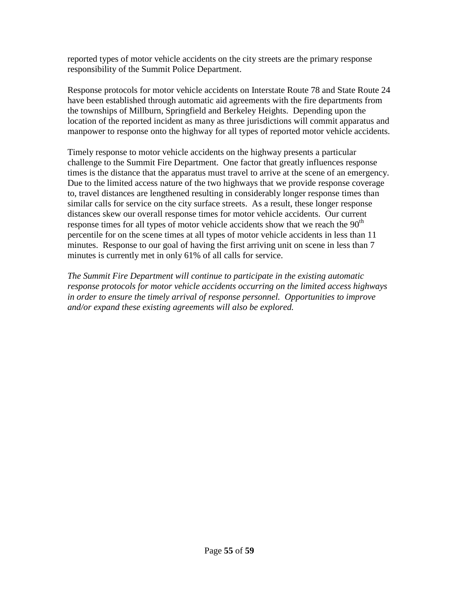reported types of motor vehicle accidents on the city streets are the primary response responsibility of the Summit Police Department.

Response protocols for motor vehicle accidents on Interstate Route 78 and State Route 24 have been established through automatic aid agreements with the fire departments from the townships of Millburn, Springfield and Berkeley Heights. Depending upon the location of the reported incident as many as three jurisdictions will commit apparatus and manpower to response onto the highway for all types of reported motor vehicle accidents.

Timely response to motor vehicle accidents on the highway presents a particular challenge to the Summit Fire Department. One factor that greatly influences response times is the distance that the apparatus must travel to arrive at the scene of an emergency. Due to the limited access nature of the two highways that we provide response coverage to, travel distances are lengthened resulting in considerably longer response times than similar calls for service on the city surface streets. As a result, these longer response distances skew our overall response times for motor vehicle accidents. Our current response times for all types of motor vehicle accidents show that we reach the  $90<sup>th</sup>$ percentile for on the scene times at all types of motor vehicle accidents in less than 11 minutes. Response to our goal of having the first arriving unit on scene in less than 7 minutes is currently met in only 61% of all calls for service.

*The Summit Fire Department will continue to participate in the existing automatic response protocols for motor vehicle accidents occurring on the limited access highways in order to ensure the timely arrival of response personnel. Opportunities to improve and/or expand these existing agreements will also be explored.*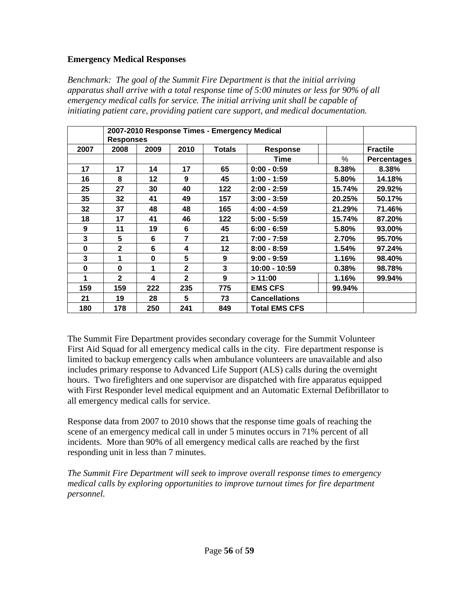#### **Emergency Medical Responses**

*Benchmark: The goal of the Summit Fire Department is that the initial arriving apparatus shall arrive with a total response time of 5:00 minutes or less for 90% of all emergency medical calls for service. The initial arriving unit shall be capable of initiating patient care, providing patient care support, and medical documentation.*

|          | <b>Responses</b> | 2007-2010 Response Times - Emergency Medical |                |               |                      |        |                    |
|----------|------------------|----------------------------------------------|----------------|---------------|----------------------|--------|--------------------|
| 2007     | 2008             | 2009                                         | 2010           | <b>Totals</b> | <b>Response</b>      |        | <b>Fractile</b>    |
|          |                  |                                              |                |               | Time                 | %      | <b>Percentages</b> |
| 17       | 17               | 14                                           | 17             | 65            | $0:00 - 0:59$        | 8.38%  | 8.38%              |
| 16       | 8                | 12                                           | 9              | 45            | $1:00 - 1:59$        | 5.80%  | 14.18%             |
| 25       | 27               | 30                                           | 40             | 122           | $2:00 - 2:59$        | 15.74% | 29.92%             |
| 35       | 32               | 41                                           | 49             | 157           | $3:00 - 3:59$        | 20.25% | 50.17%             |
| 32       | 37               | 48                                           | 48             | 165           | $4:00 - 4:59$        | 21.29% | 71.46%             |
| 18       | 17               | 41                                           | 46             | 122           | $5:00 - 5:59$        | 15.74% | 87.20%             |
| 9        | 11               | 19                                           | 6              | 45            | $6:00 - 6:59$        | 5.80%  | 93.00%             |
| 3        | 5                | 6                                            | 7              | 21            | $7:00 - 7:59$        | 2.70%  | 95.70%             |
| $\bf{0}$ | $\mathbf{2}$     | 6                                            | 4              | 12            | $8:00 - 8:59$        | 1.54%  | 97.24%             |
| 3        | 1                | $\bf{0}$                                     | 5              | 9             | $9:00 - 9:59$        | 1.16%  | 98.40%             |
| $\bf{0}$ | $\bf{0}$         | 1                                            | $\overline{2}$ | 3             | 10:00 - 10:59        | 0.38%  | 98.78%             |
| 1        | $\mathbf{2}$     | 4                                            | $\mathbf{2}$   | 9             | > 11:00              | 1.16%  | 99.94%             |
| 159      | 159              | 222                                          | 235            | 775           | <b>EMS CFS</b>       | 99.94% |                    |
| 21       | 19               | 28                                           | 5              | 73            | <b>Cancellations</b> |        |                    |
| 180      | 178              | 250                                          | 241            | 849           | <b>Total EMS CFS</b> |        |                    |

The Summit Fire Department provides secondary coverage for the Summit Volunteer First Aid Squad for all emergency medical calls in the city. Fire department response is limited to backup emergency calls when ambulance volunteers are unavailable and also includes primary response to Advanced Life Support (ALS) calls during the overnight hours. Two firefighters and one supervisor are dispatched with fire apparatus equipped with First Responder level medical equipment and an Automatic External Defibrillator to all emergency medical calls for service.

Response data from 2007 to 2010 shows that the response time goals of reaching the scene of an emergency medical call in under 5 minutes occurs in 71% percent of all incidents. More than 90% of all emergency medical calls are reached by the first responding unit in less than 7 minutes.

*The Summit Fire Department will seek to improve overall response times to emergency medical calls by exploring opportunities to improve turnout times for fire department personnel.*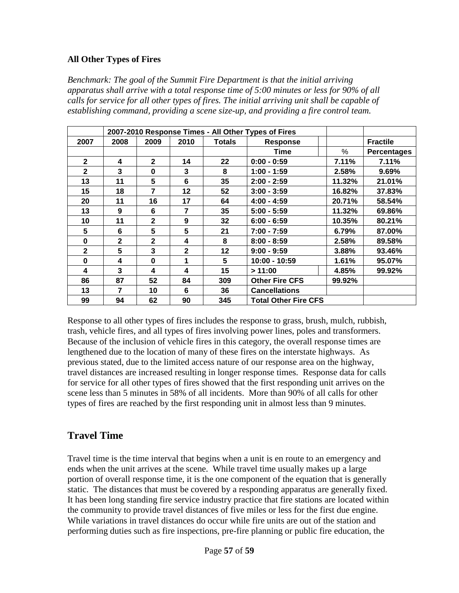#### **All Other Types of Fires**

*Benchmark: The goal of the Summit Fire Department is that the initial arriving apparatus shall arrive with a total response time of 5:00 minutes or less for 90% of all calls for service for all other types of fires. The initial arriving unit shall be capable of establishing command, providing a scene size-up, and providing a fire control team.*

|              |              | 2007-2010 Response Times - All Other Types of Fires |              |        |                             |        |                    |  |
|--------------|--------------|-----------------------------------------------------|--------------|--------|-----------------------------|--------|--------------------|--|
| 2007         | 2008         | 2009                                                | 2010         | Totals | <b>Response</b>             |        | <b>Fractile</b>    |  |
|              |              |                                                     |              |        | Time                        | ℅      | <b>Percentages</b> |  |
| $\mathbf{2}$ | 4            | $\mathbf{2}$                                        | 14           | 22     | $0:00 - 0:59$               | 7.11%  | 7.11%              |  |
| $\mathbf{2}$ | 3            | $\bf{0}$                                            | 3            | 8      | $1:00 - 1:59$               | 2.58%  | 9.69%              |  |
| 13           | 11           | 5                                                   | 6            | 35     | $2:00 - 2:59$               | 11.32% | 21.01%             |  |
| 15           | 18           | 7                                                   | 12           | 52     | $3:00 - 3:59$               | 16.82% | 37.83%             |  |
| 20           | 11           | 16                                                  | 17           | 64     | $4:00 - 4:59$               | 20.71% | 58.54%             |  |
| 13           | 9            | 6                                                   | 7            | 35     | $5:00 - 5:59$               | 11.32% | 69.86%             |  |
| 10           | 11           | 2                                                   | 9            | 32     | $6:00 - 6:59$               | 10.35% | 80.21%             |  |
| 5            | 6            | 5                                                   | 5            | 21     | $7:00 - 7:59$               | 6.79%  | 87.00%             |  |
| $\bf{0}$     | $\mathbf{2}$ | $\mathbf{2}$                                        | 4            | 8      | $8:00 - 8:59$               | 2.58%  | 89.58%             |  |
| $\mathbf{2}$ | 5            | 3                                                   | $\mathbf{2}$ | 12     | $9:00 - 9:59$               | 3.88%  | 93.46%             |  |
| 0            | 4            | $\bf{0}$                                            | 1            | 5      | 10:00 - 10:59               | 1.61%  | 95.07%             |  |
| 4            | 3            | 4                                                   | 4            | 15     | > 11:00                     | 4.85%  | 99.92%             |  |
| 86           | 87           | 52                                                  | 84           | 309    | <b>Other Fire CFS</b>       | 99.92% |                    |  |
| 13           | 7            | 10                                                  | 6            | 36     | <b>Cancellations</b>        |        |                    |  |
| 99           | 94           | 62                                                  | 90           | 345    | <b>Total Other Fire CFS</b> |        |                    |  |

Response to all other types of fires includes the response to grass, brush, mulch, rubbish, trash, vehicle fires, and all types of fires involving power lines, poles and transformers. Because of the inclusion of vehicle fires in this category, the overall response times are lengthened due to the location of many of these fires on the interstate highways. As previous stated, due to the limited access nature of our response area on the highway, travel distances are increased resulting in longer response times. Response data for calls for service for all other types of fires showed that the first responding unit arrives on the scene less than 5 minutes in 58% of all incidents. More than 90% of all calls for other types of fires are reached by the first responding unit in almost less than 9 minutes.

#### **Travel Time**

Travel time is the time interval that begins when a unit is en route to an emergency and ends when the unit arrives at the scene. While travel time usually makes up a large portion of overall response time, it is the one component of the equation that is generally static. The distances that must be covered by a responding apparatus are generally fixed. It has been long standing fire service industry practice that fire stations are located within the community to provide travel distances of five miles or less for the first due engine. While variations in travel distances do occur while fire units are out of the station and performing duties such as fire inspections, pre-fire planning or public fire education, the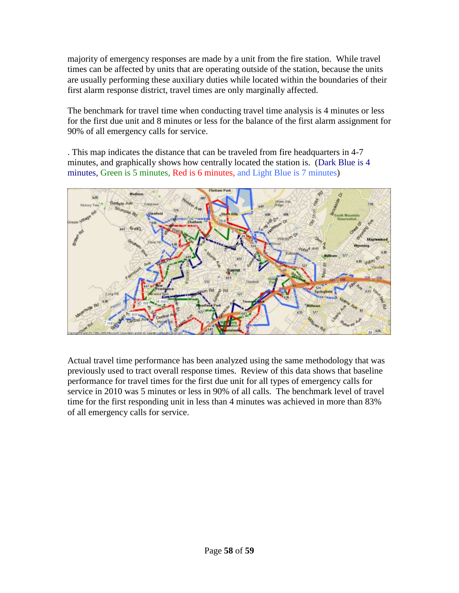majority of emergency responses are made by a unit from the fire station. While travel times can be affected by units that are operating outside of the station, because the units are usually performing these auxiliary duties while located within the boundaries of their first alarm response district, travel times are only marginally affected.

The benchmark for travel time when conducting travel time analysis is 4 minutes or less for the first due unit and 8 minutes or less for the balance of the first alarm assignment for 90% of all emergency calls for service.

. This map indicates the distance that can be traveled from fire headquarters in 4-7 minutes, and graphically shows how centrally located the station is. (Dark Blue is 4 minutes, Green is 5 minutes, Red is 6 minutes, and Light Blue is 7 minutes)



Actual travel time performance has been analyzed using the same methodology that was previously used to tract overall response times. Review of this data shows that baseline performance for travel times for the first due unit for all types of emergency calls for service in 2010 was 5 minutes or less in 90% of all calls. The benchmark level of travel time for the first responding unit in less than 4 minutes was achieved in more than 83% of all emergency calls for service.